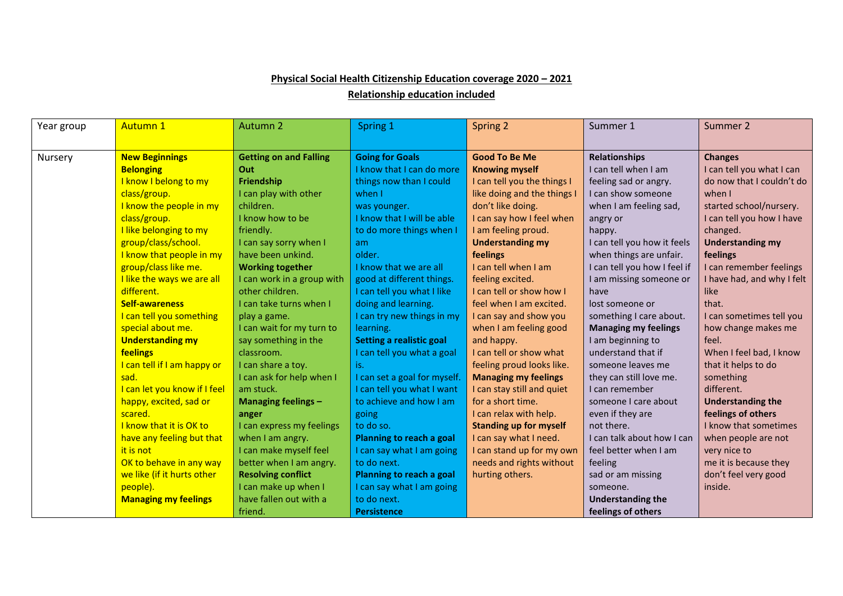## **Physical Social Health Citizenship Education coverage 2020 – 2021**

**Relationship education included**

| Year group | <b>Autumn 1</b>              | Autumn 2                      | Spring 1                     | Spring 2                      | Summer 1                     | Summer 2                   |
|------------|------------------------------|-------------------------------|------------------------------|-------------------------------|------------------------------|----------------------------|
|            |                              |                               |                              |                               |                              |                            |
| Nursery    | <b>New Beginnings</b>        | <b>Getting on and Falling</b> | <b>Going for Goals</b>       | <b>Good To Be Me</b>          | <b>Relationships</b>         | <b>Changes</b>             |
|            | <b>Belonging</b>             | Out                           | I know that I can do more    | <b>Knowing myself</b>         | I can tell when I am         | I can tell you what I can  |
|            | I know I belong to my        | Friendship                    | things now than I could      | I can tell you the things I   | feeling sad or angry.        | do now that I couldn't do  |
|            | class/group.                 | I can play with other         | when I                       | like doing and the things I   | I can show someone           | when I                     |
|            | I know the people in my      | children.                     | was younger.                 | don't like doing.             | when I am feeling sad,       | started school/nursery.    |
|            | class/group.                 | I know how to be              | I know that I will be able   | I can say how I feel when     | angry or                     | I can tell you how I have  |
|            | I like belonging to my       | friendly.                     | to do more things when I     | I am feeling proud.           | happy.                       | changed.                   |
|            | group/class/school.          | I can say sorry when I        | am                           | <b>Understanding my</b>       | I can tell you how it feels  | <b>Understanding my</b>    |
|            | I know that people in my     | have been unkind.             | older.                       | feelings                      | when things are unfair.      | feelings                   |
|            | group/class like me.         | <b>Working together</b>       | I know that we are all       | I can tell when I am          | I can tell you how I feel if | I can remember feelings    |
|            | I like the ways we are all   | I can work in a group with    | good at different things.    | feeling excited.              | I am missing someone or      | I have had, and why I felt |
|            | different.                   | other children.               | I can tell you what I like   | I can tell or show how I      | have                         | like                       |
|            | <b>Self-awareness</b>        | I can take turns when I       | doing and learning.          | feel when I am excited.       | lost someone or              | that.                      |
|            | I can tell you something     | play a game.                  | I can try new things in my   | I can say and show you        | something I care about.      | I can sometimes tell you   |
|            | special about me.            | I can wait for my turn to     | learning.                    | when I am feeling good        | <b>Managing my feelings</b>  | how change makes me        |
|            | <b>Understanding my</b>      | say something in the          | Setting a realistic goal     | and happy.                    | I am beginning to            | feel.                      |
|            | feelings                     | classroom.                    | I can tell you what a goal   | I can tell or show what       | understand that if           | When I feel bad, I know    |
|            | I can tell if I am happy or  | I can share a toy.            | is.                          | feeling proud looks like.     | someone leaves me            | that it helps to do        |
|            | sad.                         | I can ask for help when I     | I can set a goal for myself. | <b>Managing my feelings</b>   | they can still love me.      | something                  |
|            | I can let you know if I feel | am stuck.                     | I can tell you what I want   | I can stay still and quiet    | I can remember               | different.                 |
|            | happy, excited, sad or       | <b>Managing feelings -</b>    | to achieve and how I am      | for a short time.             | someone I care about         | <b>Understanding the</b>   |
|            | scared.                      | anger                         | going                        | I can relax with help.        | even if they are             | feelings of others         |
|            | I know that it is OK to      | I can express my feelings     | to do so.                    | <b>Standing up for myself</b> | not there.                   | I know that sometimes      |
|            | have any feeling but that    | when I am angry.              | Planning to reach a goal     | I can say what I need.        | I can talk about how I can   | when people are not        |
|            | it is not                    | I can make myself feel        | I can say what I am going    | I can stand up for my own     | feel better when I am        | very nice to               |
|            | OK to behave in any way      | better when I am angry.       | to do next.                  | needs and rights without      | feeling                      | me it is because they      |
|            | we like (if it hurts other   | <b>Resolving conflict</b>     | Planning to reach a goal     | hurting others.               | sad or am missing            | don't feel very good       |
|            | people).                     | I can make up when I          | I can say what I am going    |                               | someone.                     | inside.                    |
|            | <b>Managing my feelings</b>  | have fallen out with a        | to do next.                  |                               | <b>Understanding the</b>     |                            |
|            |                              | friend.                       | Persistence                  |                               | feelings of others           |                            |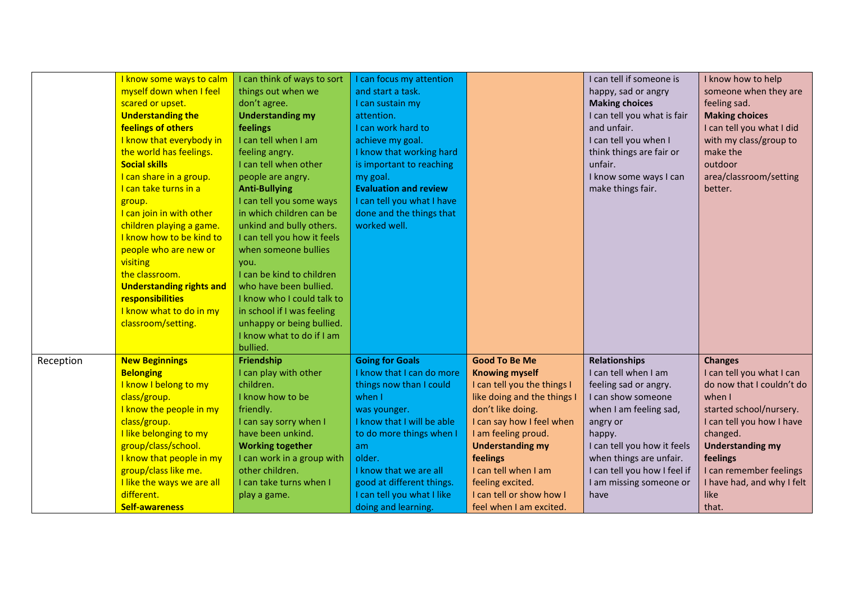|           | I know some ways to calm        | I can think of ways to sort | I can focus my attention     |                             | I can tell if someone is     | I know how to help         |
|-----------|---------------------------------|-----------------------------|------------------------------|-----------------------------|------------------------------|----------------------------|
|           | myself down when I feel         | things out when we          | and start a task.            |                             | happy, sad or angry          | someone when they are      |
|           | scared or upset.                | don't agree.                | I can sustain my             |                             | <b>Making choices</b>        | feeling sad.               |
|           | <b>Understanding the</b>        | <b>Understanding my</b>     | attention.                   |                             | I can tell you what is fair  | <b>Making choices</b>      |
|           | feelings of others              | feelings                    | I can work hard to           |                             | and unfair.                  | I can tell you what I did  |
|           | I know that everybody in        | I can tell when I am        | achieve my goal.             |                             | I can tell you when I        | with my class/group to     |
|           | the world has feelings.         | feeling angry.              | I know that working hard     |                             | think things are fair or     | make the                   |
|           | <b>Social skills</b>            | I can tell when other       | is important to reaching     |                             | unfair.                      | outdoor                    |
|           | I can share in a group.         | people are angry.           | my goal.                     |                             | I know some ways I can       | area/classroom/setting     |
|           | I can take turns in a           | <b>Anti-Bullying</b>        | <b>Evaluation and review</b> |                             | make things fair.            | better.                    |
|           | group.                          | I can tell you some ways    | I can tell you what I have   |                             |                              |                            |
|           | I can join in with other        | in which children can be    | done and the things that     |                             |                              |                            |
|           | children playing a game.        | unkind and bully others.    | worked well.                 |                             |                              |                            |
|           | I know how to be kind to        | I can tell you how it feels |                              |                             |                              |                            |
|           | people who are new or           | when someone bullies        |                              |                             |                              |                            |
|           | visiting                        | you.                        |                              |                             |                              |                            |
|           | the classroom.                  | I can be kind to children   |                              |                             |                              |                            |
|           | <b>Understanding rights and</b> | who have been bullied.      |                              |                             |                              |                            |
|           | responsibilities                | I know who I could talk to  |                              |                             |                              |                            |
|           | I know what to do in my         | in school if I was feeling  |                              |                             |                              |                            |
|           | classroom/setting.              | unhappy or being bullied.   |                              |                             |                              |                            |
|           |                                 | I know what to do if I am   |                              |                             |                              |                            |
|           |                                 | bullied.                    |                              |                             |                              |                            |
| Reception | <b>New Beginnings</b>           | Friendship                  | <b>Going for Goals</b>       | <b>Good To Be Me</b>        | <b>Relationships</b>         | <b>Changes</b>             |
|           | <b>Belonging</b>                | I can play with other       | I know that I can do more    | <b>Knowing myself</b>       | I can tell when I am         | I can tell you what I can  |
|           | I know I belong to my           | children.                   | things now than I could      | I can tell you the things I | feeling sad or angry.        | do now that I couldn't do  |
|           | class/group.                    | I know how to be            | when I                       | like doing and the things I | I can show someone           | when I                     |
|           | I know the people in my         | friendly.                   | was younger.                 | don't like doing.           | when I am feeling sad,       | started school/nursery.    |
|           | class/group.                    | I can say sorry when I      | I know that I will be able   | I can say how I feel when   | angry or                     | I can tell you how I have  |
|           | I like belonging to my          | have been unkind.           | to do more things when I     | I am feeling proud.         | happy.                       | changed.                   |
|           | group/class/school.             | <b>Working together</b>     | am                           | <b>Understanding my</b>     | I can tell you how it feels  | <b>Understanding my</b>    |
|           | I know that people in my        | I can work in a group with  | older.                       | feelings                    | when things are unfair.      | feelings                   |
|           | group/class like me.            | other children.             | I know that we are all       | I can tell when I am        | I can tell you how I feel if | I can remember feelings    |
|           | I like the ways we are all      | I can take turns when I     | good at different things.    | feeling excited.            | I am missing someone or      | I have had, and why I felt |
|           | different.                      | play a game.                | I can tell you what I like   | I can tell or show how I    | have                         | like                       |
|           | <b>Self-awareness</b>           |                             | doing and learning.          | feel when I am excited.     |                              | that.                      |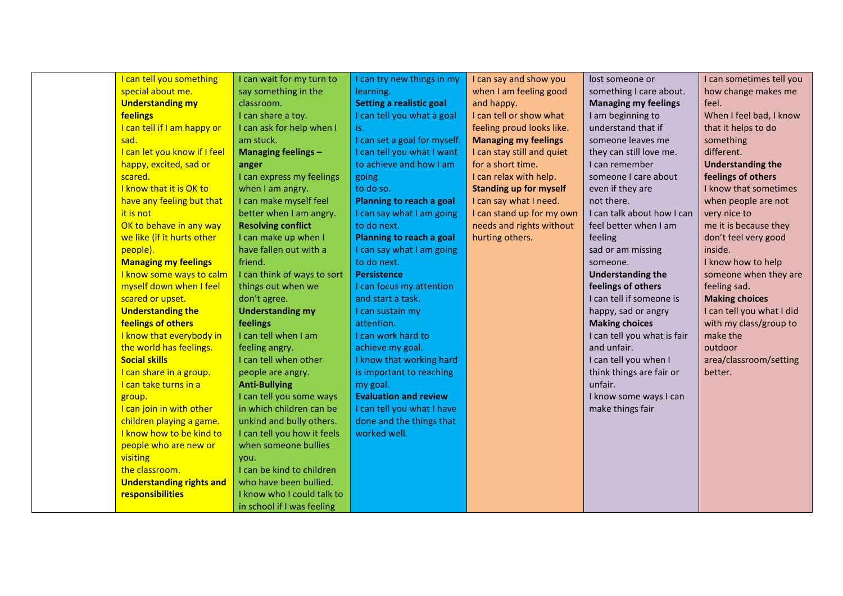| I can tell you something<br>I can wait for my turn to<br>I can try new things in my<br>I can say and show you<br>I can sometimes tell you<br>lost someone or<br>special about me.<br>how change makes me<br>say something in the<br>when I am feeling good<br>something I care about.<br>learning.<br><b>Understanding my</b><br>classroom.<br><b>Setting a realistic goal</b><br>and happy.<br>feel.<br><b>Managing my feelings</b><br>feelings<br>I can tell you what a goal<br>I can tell or show what<br>When I feel bad, I know<br>I can share a toy.<br>I am beginning to<br>understand that if<br>I can tell if I am happy or<br>I can ask for help when I<br>feeling proud looks like.<br>that it helps to do<br>is.<br>sad.<br>I can set a goal for myself.<br><b>Managing my feelings</b><br>someone leaves me<br>something<br>am stuck.<br>I can let you know if I feel<br>different.<br><b>Managing feelings -</b><br>I can tell you what I want<br>I can stay still and quiet<br>they can still love me.<br>happy, excited, sad or<br>to achieve and how I am<br>for a short time.<br>I can remember<br><b>Understanding the</b><br>anger<br>scared.<br>feelings of others<br>I can express my feelings<br>I can relax with help.<br>someone I care about<br>going |  |
|---------------------------------------------------------------------------------------------------------------------------------------------------------------------------------------------------------------------------------------------------------------------------------------------------------------------------------------------------------------------------------------------------------------------------------------------------------------------------------------------------------------------------------------------------------------------------------------------------------------------------------------------------------------------------------------------------------------------------------------------------------------------------------------------------------------------------------------------------------------------------------------------------------------------------------------------------------------------------------------------------------------------------------------------------------------------------------------------------------------------------------------------------------------------------------------------------------------------------------------------------------------------------------|--|
|                                                                                                                                                                                                                                                                                                                                                                                                                                                                                                                                                                                                                                                                                                                                                                                                                                                                                                                                                                                                                                                                                                                                                                                                                                                                                 |  |
|                                                                                                                                                                                                                                                                                                                                                                                                                                                                                                                                                                                                                                                                                                                                                                                                                                                                                                                                                                                                                                                                                                                                                                                                                                                                                 |  |
|                                                                                                                                                                                                                                                                                                                                                                                                                                                                                                                                                                                                                                                                                                                                                                                                                                                                                                                                                                                                                                                                                                                                                                                                                                                                                 |  |
|                                                                                                                                                                                                                                                                                                                                                                                                                                                                                                                                                                                                                                                                                                                                                                                                                                                                                                                                                                                                                                                                                                                                                                                                                                                                                 |  |
|                                                                                                                                                                                                                                                                                                                                                                                                                                                                                                                                                                                                                                                                                                                                                                                                                                                                                                                                                                                                                                                                                                                                                                                                                                                                                 |  |
|                                                                                                                                                                                                                                                                                                                                                                                                                                                                                                                                                                                                                                                                                                                                                                                                                                                                                                                                                                                                                                                                                                                                                                                                                                                                                 |  |
|                                                                                                                                                                                                                                                                                                                                                                                                                                                                                                                                                                                                                                                                                                                                                                                                                                                                                                                                                                                                                                                                                                                                                                                                                                                                                 |  |
|                                                                                                                                                                                                                                                                                                                                                                                                                                                                                                                                                                                                                                                                                                                                                                                                                                                                                                                                                                                                                                                                                                                                                                                                                                                                                 |  |
| I know that it is OK to<br><b>Standing up for myself</b><br>even if they are<br>I know that sometimes<br>when I am angry.<br>to do so.                                                                                                                                                                                                                                                                                                                                                                                                                                                                                                                                                                                                                                                                                                                                                                                                                                                                                                                                                                                                                                                                                                                                          |  |
| have any feeling but that<br>I can make myself feel<br>I can say what I need.<br>when people are not<br>Planning to reach a goal<br>not there.                                                                                                                                                                                                                                                                                                                                                                                                                                                                                                                                                                                                                                                                                                                                                                                                                                                                                                                                                                                                                                                                                                                                  |  |
| it is not<br>better when I am angry.<br>I can stand up for my own<br>I can talk about how I can<br>very nice to<br>I can say what I am going                                                                                                                                                                                                                                                                                                                                                                                                                                                                                                                                                                                                                                                                                                                                                                                                                                                                                                                                                                                                                                                                                                                                    |  |
| OK to behave in any way<br><b>Resolving conflict</b><br>to do next.<br>needs and rights without<br>feel better when I am<br>me it is because they                                                                                                                                                                                                                                                                                                                                                                                                                                                                                                                                                                                                                                                                                                                                                                                                                                                                                                                                                                                                                                                                                                                               |  |
| don't feel very good<br>we like (if it hurts other<br>I can make up when I<br>Planning to reach a goal<br>hurting others.<br>feeling                                                                                                                                                                                                                                                                                                                                                                                                                                                                                                                                                                                                                                                                                                                                                                                                                                                                                                                                                                                                                                                                                                                                            |  |
| people).<br>have fallen out with a<br>inside.<br>I can say what I am going<br>sad or am missing                                                                                                                                                                                                                                                                                                                                                                                                                                                                                                                                                                                                                                                                                                                                                                                                                                                                                                                                                                                                                                                                                                                                                                                 |  |
| friend.<br>to do next.<br>I know how to help<br><b>Managing my feelings</b><br>someone.                                                                                                                                                                                                                                                                                                                                                                                                                                                                                                                                                                                                                                                                                                                                                                                                                                                                                                                                                                                                                                                                                                                                                                                         |  |
| I know some ways to calm<br>I can think of ways to sort<br><b>Persistence</b><br>someone when they are<br><b>Understanding the</b>                                                                                                                                                                                                                                                                                                                                                                                                                                                                                                                                                                                                                                                                                                                                                                                                                                                                                                                                                                                                                                                                                                                                              |  |
| myself down when I feel<br>feelings of others<br>feeling sad.<br>things out when we<br>I can focus my attention                                                                                                                                                                                                                                                                                                                                                                                                                                                                                                                                                                                                                                                                                                                                                                                                                                                                                                                                                                                                                                                                                                                                                                 |  |
| scared or upset.<br>don't agree.<br>I can tell if someone is<br><b>Making choices</b><br>and start a task.                                                                                                                                                                                                                                                                                                                                                                                                                                                                                                                                                                                                                                                                                                                                                                                                                                                                                                                                                                                                                                                                                                                                                                      |  |
| <b>Understanding the</b><br>I can tell you what I did<br><b>Understanding my</b><br>I can sustain my<br>happy, sad or angry                                                                                                                                                                                                                                                                                                                                                                                                                                                                                                                                                                                                                                                                                                                                                                                                                                                                                                                                                                                                                                                                                                                                                     |  |
| feelings of others<br><b>Making choices</b><br>with my class/group to<br>feelings<br>attention.                                                                                                                                                                                                                                                                                                                                                                                                                                                                                                                                                                                                                                                                                                                                                                                                                                                                                                                                                                                                                                                                                                                                                                                 |  |
| I know that everybody in<br>I can tell when I am<br>make the<br>I can work hard to<br>I can tell you what is fair                                                                                                                                                                                                                                                                                                                                                                                                                                                                                                                                                                                                                                                                                                                                                                                                                                                                                                                                                                                                                                                                                                                                                               |  |
| the world has feelings.<br>and unfair.<br>achieve my goal.<br>outdoor<br>feeling angry.                                                                                                                                                                                                                                                                                                                                                                                                                                                                                                                                                                                                                                                                                                                                                                                                                                                                                                                                                                                                                                                                                                                                                                                         |  |
| <b>Social skills</b><br>I know that working hard<br>area/classroom/setting<br>I can tell when other<br>I can tell you when I                                                                                                                                                                                                                                                                                                                                                                                                                                                                                                                                                                                                                                                                                                                                                                                                                                                                                                                                                                                                                                                                                                                                                    |  |
| I can share in a group.<br>is important to reaching<br>think things are fair or<br>people are angry.<br>better.                                                                                                                                                                                                                                                                                                                                                                                                                                                                                                                                                                                                                                                                                                                                                                                                                                                                                                                                                                                                                                                                                                                                                                 |  |
| I can take turns in a<br>unfair.<br><b>Anti-Bullying</b><br>my goal.                                                                                                                                                                                                                                                                                                                                                                                                                                                                                                                                                                                                                                                                                                                                                                                                                                                                                                                                                                                                                                                                                                                                                                                                            |  |
| <b>Evaluation and review</b><br>I can tell you some ways<br>I know some ways I can<br>group.                                                                                                                                                                                                                                                                                                                                                                                                                                                                                                                                                                                                                                                                                                                                                                                                                                                                                                                                                                                                                                                                                                                                                                                    |  |
| I can join in with other<br>in which children can be<br>I can tell you what I have<br>make things fair                                                                                                                                                                                                                                                                                                                                                                                                                                                                                                                                                                                                                                                                                                                                                                                                                                                                                                                                                                                                                                                                                                                                                                          |  |
| children playing a game.<br>done and the things that<br>unkind and bully others.                                                                                                                                                                                                                                                                                                                                                                                                                                                                                                                                                                                                                                                                                                                                                                                                                                                                                                                                                                                                                                                                                                                                                                                                |  |
| I know how to be kind to<br>I can tell you how it feels<br>worked well.                                                                                                                                                                                                                                                                                                                                                                                                                                                                                                                                                                                                                                                                                                                                                                                                                                                                                                                                                                                                                                                                                                                                                                                                         |  |
| people who are new or<br>when someone bullies<br>visiting                                                                                                                                                                                                                                                                                                                                                                                                                                                                                                                                                                                                                                                                                                                                                                                                                                                                                                                                                                                                                                                                                                                                                                                                                       |  |
| you.<br>the classroom.<br>I can be kind to children                                                                                                                                                                                                                                                                                                                                                                                                                                                                                                                                                                                                                                                                                                                                                                                                                                                                                                                                                                                                                                                                                                                                                                                                                             |  |
| <b>Understanding rights and</b><br>who have been bullied.                                                                                                                                                                                                                                                                                                                                                                                                                                                                                                                                                                                                                                                                                                                                                                                                                                                                                                                                                                                                                                                                                                                                                                                                                       |  |
| responsibilities<br>I know who I could talk to                                                                                                                                                                                                                                                                                                                                                                                                                                                                                                                                                                                                                                                                                                                                                                                                                                                                                                                                                                                                                                                                                                                                                                                                                                  |  |
| in school if I was feeling                                                                                                                                                                                                                                                                                                                                                                                                                                                                                                                                                                                                                                                                                                                                                                                                                                                                                                                                                                                                                                                                                                                                                                                                                                                      |  |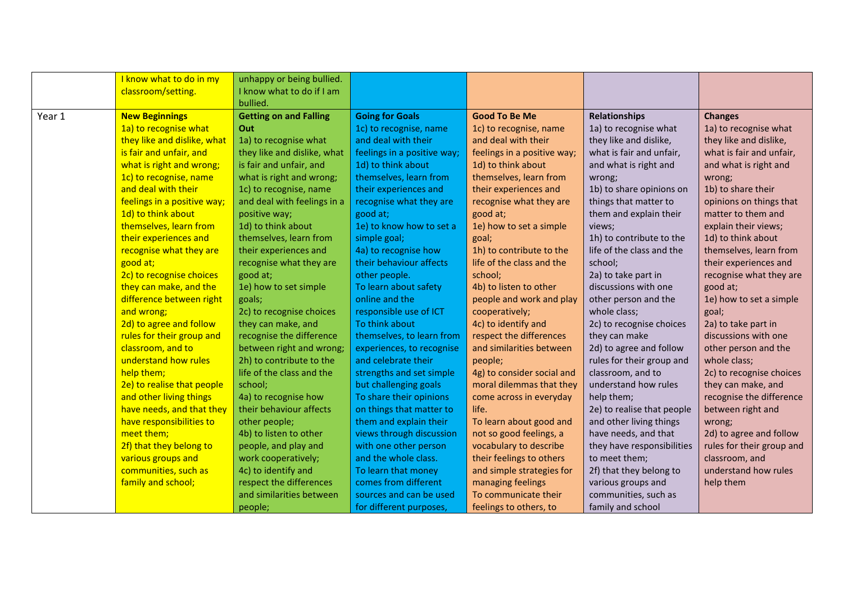|        | I know what to do in my<br>classroom/setting. | unhappy or being bullied.<br>I know what to do if I am |                             |                             |                            |                           |
|--------|-----------------------------------------------|--------------------------------------------------------|-----------------------------|-----------------------------|----------------------------|---------------------------|
|        |                                               | bullied.                                               |                             |                             |                            |                           |
| Year 1 | <b>New Beginnings</b>                         | <b>Getting on and Falling</b>                          | <b>Going for Goals</b>      | <b>Good To Be Me</b>        | <b>Relationships</b>       | <b>Changes</b>            |
|        | 1a) to recognise what                         | Out                                                    | 1c) to recognise, name      | 1c) to recognise, name      | 1a) to recognise what      | 1a) to recognise what     |
|        | they like and dislike, what                   | 1a) to recognise what                                  | and deal with their         | and deal with their         | they like and dislike,     | they like and dislike,    |
|        | is fair and unfair, and                       | they like and dislike, what                            | feelings in a positive way; | feelings in a positive way; | what is fair and unfair,   | what is fair and unfair,  |
|        | what is right and wrong;                      | is fair and unfair, and                                | 1d) to think about          | 1d) to think about          | and what is right and      | and what is right and     |
|        | 1c) to recognise, name                        | what is right and wrong;                               | themselves, learn from      | themselves, learn from      | wrong;                     | wrong;                    |
|        | and deal with their                           | 1c) to recognise, name                                 | their experiences and       | their experiences and       | 1b) to share opinions on   | 1b) to share their        |
|        | feelings in a positive way;                   | and deal with feelings in a                            | recognise what they are     | recognise what they are     | things that matter to      | opinions on things that   |
|        | 1d) to think about                            | positive way;                                          | good at;                    | good at;                    | them and explain their     | matter to them and        |
|        | themselves, learn from                        | 1d) to think about                                     | 1e) to know how to set a    | 1e) how to set a simple     | views;                     | explain their views;      |
|        | their experiences and                         | themselves, learn from                                 | simple goal;                | goal;                       | 1h) to contribute to the   | 1d) to think about        |
|        | recognise what they are                       | their experiences and                                  | 4a) to recognise how        | 1h) to contribute to the    | life of the class and the  | themselves, learn from    |
|        | good at;                                      | recognise what they are                                | their behaviour affects     | life of the class and the   | school;                    | their experiences and     |
|        | 2c) to recognise choices                      | good at;                                               | other people.               | school;                     | 2a) to take part in        | recognise what they are   |
|        | they can make, and the                        | 1e) how to set simple                                  | To learn about safety       | 4b) to listen to other      | discussions with one       | good at;                  |
|        | difference between right                      | goals;                                                 | online and the              | people and work and play    | other person and the       | 1e) how to set a simple   |
|        | and wrong;                                    | 2c) to recognise choices                               | responsible use of ICT      | cooperatively;              | whole class;               | goal;                     |
|        | 2d) to agree and follow                       | they can make, and                                     | To think about              | 4c) to identify and         | 2c) to recognise choices   | 2a) to take part in       |
|        | rules for their group and                     | recognise the difference                               | themselves, to learn from   | respect the differences     | they can make              | discussions with one      |
|        | classroom, and to                             | between right and wrong;                               | experiences, to recognise   | and similarities between    | 2d) to agree and follow    | other person and the      |
|        | understand how rules                          | 2h) to contribute to the                               | and celebrate their         | people;                     | rules for their group and  | whole class;              |
|        | help them;                                    | life of the class and the                              | strengths and set simple    | 4g) to consider social and  | classroom, and to          | 2c) to recognise choices  |
|        | 2e) to realise that people                    | school;                                                | but challenging goals       | moral dilemmas that they    | understand how rules       | they can make, and        |
|        | and other living things                       | 4a) to recognise how                                   | To share their opinions     | come across in everyday     | help them;                 | recognise the difference  |
|        | have needs, and that they                     | their behaviour affects                                | on things that matter to    | life.                       | 2e) to realise that people | between right and         |
|        | have responsibilities to                      | other people;                                          | them and explain their      | To learn about good and     | and other living things    | wrong;                    |
|        | meet them;                                    | 4b) to listen to other                                 | views through discussion    | not so good feelings, a     | have needs, and that       | 2d) to agree and follow   |
|        | 2f) that they belong to                       | people, and play and                                   | with one other person       | vocabulary to describe      | they have responsibilities | rules for their group and |
|        | various groups and                            | work cooperatively;                                    | and the whole class.        | their feelings to others    | to meet them;              | classroom, and            |
|        | communities, such as                          | 4c) to identify and                                    | To learn that money         | and simple strategies for   | 2f) that they belong to    | understand how rules      |
|        | family and school;                            | respect the differences                                | comes from different        | managing feelings           | various groups and         | help them                 |
|        |                                               | and similarities between                               | sources and can be used     | To communicate their        | communities, such as       |                           |
|        |                                               | people;                                                | for different purposes,     | feelings to others, to      | family and school          |                           |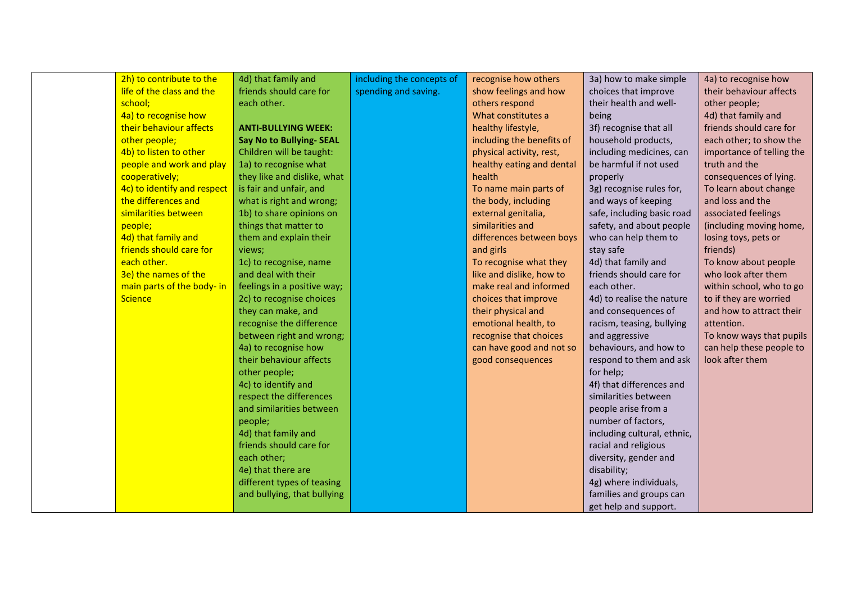| 2h) to contribute to the    | 4d) that family and             | including the concepts of | recognise how others      | 3a) how to make simple      | 4a) to recognise how      |
|-----------------------------|---------------------------------|---------------------------|---------------------------|-----------------------------|---------------------------|
| life of the class and the   | friends should care for         | spending and saving.      | show feelings and how     | choices that improve        | their behaviour affects   |
| school;                     | each other.                     |                           | others respond            | their health and well-      | other people;             |
| 4a) to recognise how        |                                 |                           | What constitutes a        | being                       | 4d) that family and       |
| their behaviour affects     | <b>ANTI-BULLYING WEEK:</b>      |                           | healthy lifestyle,        | 3f) recognise that all      | friends should care for   |
| other people;               | <b>Say No to Bullying- SEAL</b> |                           | including the benefits of | household products,         | each other; to show the   |
| 4b) to listen to other      | Children will be taught:        |                           | physical activity, rest,  | including medicines, can    | importance of telling the |
| people and work and play    | 1a) to recognise what           |                           | healthy eating and dental | be harmful if not used      | truth and the             |
| cooperatively;              | they like and dislike, what     |                           | health                    | properly                    | consequences of lying.    |
| 4c) to identify and respect | is fair and unfair, and         |                           | To name main parts of     | 3g) recognise rules for,    | To learn about change     |
| the differences and         | what is right and wrong;        |                           | the body, including       | and ways of keeping         | and loss and the          |
| similarities between        | 1b) to share opinions on        |                           | external genitalia,       | safe, including basic road  | associated feelings       |
| people;                     | things that matter to           |                           | similarities and          | safety, and about people    | (including moving home,   |
| 4d) that family and         | them and explain their          |                           | differences between boys  | who can help them to        | losing toys, pets or      |
| friends should care for     | views;                          |                           | and girls                 | stay safe                   | friends)                  |
| each other.                 | 1c) to recognise, name          |                           | To recognise what they    | 4d) that family and         | To know about people      |
| 3e) the names of the        | and deal with their             |                           | like and dislike, how to  | friends should care for     | who look after them       |
| main parts of the body- in  | feelings in a positive way;     |                           | make real and informed    | each other.                 | within school, who to go  |
| <b>Science</b>              | 2c) to recognise choices        |                           | choices that improve      | 4d) to realise the nature   | to if they are worried    |
|                             | they can make, and              |                           | their physical and        | and consequences of         | and how to attract their  |
|                             | recognise the difference        |                           | emotional health, to      | racism, teasing, bullying   | attention.                |
|                             | between right and wrong;        |                           | recognise that choices    | and aggressive              | To know ways that pupils  |
|                             | 4a) to recognise how            |                           | can have good and not so  | behaviours, and how to      | can help these people to  |
|                             | their behaviour affects         |                           | good consequences         | respond to them and ask     | look after them           |
|                             | other people;                   |                           |                           | for help;                   |                           |
|                             | 4c) to identify and             |                           |                           | 4f) that differences and    |                           |
|                             | respect the differences         |                           |                           | similarities between        |                           |
|                             | and similarities between        |                           |                           | people arise from a         |                           |
|                             | people;                         |                           |                           | number of factors,          |                           |
|                             | 4d) that family and             |                           |                           | including cultural, ethnic, |                           |
|                             | friends should care for         |                           |                           | racial and religious        |                           |
|                             | each other;                     |                           |                           | diversity, gender and       |                           |
|                             | 4e) that there are              |                           |                           | disability;                 |                           |
|                             | different types of teasing      |                           |                           | 4g) where individuals,      |                           |
|                             | and bullying, that bullying     |                           |                           | families and groups can     |                           |
|                             |                                 |                           |                           | get help and support.       |                           |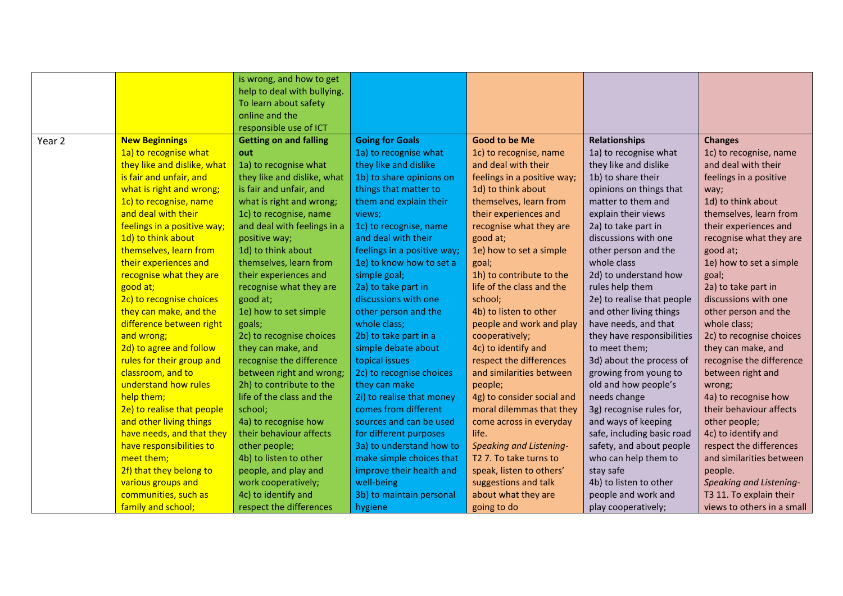|                   |                             | is wrong, and how to get      |                             |                                |                            |                            |
|-------------------|-----------------------------|-------------------------------|-----------------------------|--------------------------------|----------------------------|----------------------------|
|                   |                             | help to deal with bullying.   |                             |                                |                            |                            |
|                   |                             | To learn about safety         |                             |                                |                            |                            |
|                   |                             | online and the                |                             |                                |                            |                            |
|                   |                             | responsible use of ICT        |                             |                                |                            |                            |
| Year <sub>2</sub> | <b>New Beginnings</b>       | <b>Getting on and falling</b> | <b>Going for Goals</b>      | <b>Good to be Me</b>           | <b>Relationships</b>       | <b>Changes</b>             |
|                   | 1a) to recognise what       | out                           | 1a) to recognise what       | 1c) to recognise, name         | 1a) to recognise what      | 1c) to recognise, name     |
|                   | they like and dislike, what | 1a) to recognise what         | they like and dislike       | and deal with their            | they like and dislike      | and deal with their        |
|                   | is fair and unfair, and     | they like and dislike, what   | 1b) to share opinions on    | feelings in a positive way;    | 1b) to share their         | feelings in a positive     |
|                   | what is right and wrong;    | is fair and unfair, and       | things that matter to       | 1d) to think about             | opinions on things that    | way;                       |
|                   | 1c) to recognise, name      | what is right and wrong;      | them and explain their      | themselves, learn from         | matter to them and         | 1d) to think about         |
|                   | and deal with their         | 1c) to recognise, name        | views;                      | their experiences and          | explain their views        | themselves, learn from     |
|                   | feelings in a positive way; | and deal with feelings in a   | 1c) to recognise, name      | recognise what they are        | 2a) to take part in        | their experiences and      |
|                   | 1d) to think about          | positive way;                 | and deal with their         | good at;                       | discussions with one       | recognise what they are    |
|                   | themselves, learn from      | 1d) to think about            | feelings in a positive way; | 1e) how to set a simple        | other person and the       | good at;                   |
|                   | their experiences and       | themselves, learn from        | 1e) to know how to set a    | goal;                          | whole class                | 1e) how to set a simple    |
|                   | recognise what they are     | their experiences and         | simple goal;                | 1h) to contribute to the       | 2d) to understand how      | goal;                      |
|                   | good at;                    | recognise what they are       | 2a) to take part in         | life of the class and the      | rules help them            | 2a) to take part in        |
|                   | 2c) to recognise choices    | good at;                      | discussions with one        | school;                        | 2e) to realise that people | discussions with one       |
|                   | they can make, and the      | 1e) how to set simple         | other person and the        | 4b) to listen to other         | and other living things    | other person and the       |
|                   | difference between right    | goals;                        | whole class;                | people and work and play       | have needs, and that       | whole class;               |
|                   | and wrong;                  | 2c) to recognise choices      | 2b) to take part in a       | cooperatively;                 | they have responsibilities | 2c) to recognise choices   |
|                   | 2d) to agree and follow     | they can make, and            | simple debate about         | 4c) to identify and            | to meet them;              | they can make, and         |
|                   | rules for their group and   | recognise the difference      | topical issues              | respect the differences        | 3d) about the process of   | recognise the difference   |
|                   | classroom, and to           | between right and wrong;      | 2c) to recognise choices    | and similarities between       | growing from young to      | between right and          |
|                   | understand how rules        | 2h) to contribute to the      | they can make               | people;                        | old and how people's       | wrong;                     |
|                   | help them;                  | life of the class and the     | 2i) to realise that money   | 4g) to consider social and     | needs change               | 4a) to recognise how       |
|                   | 2e) to realise that people  | school;                       | comes from different        | moral dilemmas that they       | 3g) recognise rules for,   | their behaviour affects    |
|                   | and other living things     | 4a) to recognise how          | sources and can be used     | come across in everyday        | and ways of keeping        | other people;              |
|                   | have needs, and that they   | their behaviour affects       | for different purposes      | life.                          | safe, including basic road | 4c) to identify and        |
|                   | have responsibilities to    | other people;                 | 3a) to understand how to    | <b>Speaking and Listening-</b> | safety, and about people   | respect the differences    |
|                   | meet them;                  | 4b) to listen to other        | make simple choices that    | T2 7. To take turns to         | who can help them to       | and similarities between   |
|                   | 2f) that they belong to     | people, and play and          | improve their health and    | speak, listen to others'       | stay safe                  | people.                    |
|                   | various groups and          | work cooperatively;           | well-being                  | suggestions and talk           | 4b) to listen to other     | Speaking and Listening-    |
|                   | communities, such as        | 4c) to identify and           | 3b) to maintain personal    | about what they are            | people and work and        | T3 11. To explain their    |
|                   | family and school;          | respect the differences       | hygiene                     | going to do                    | play cooperatively;        | views to others in a small |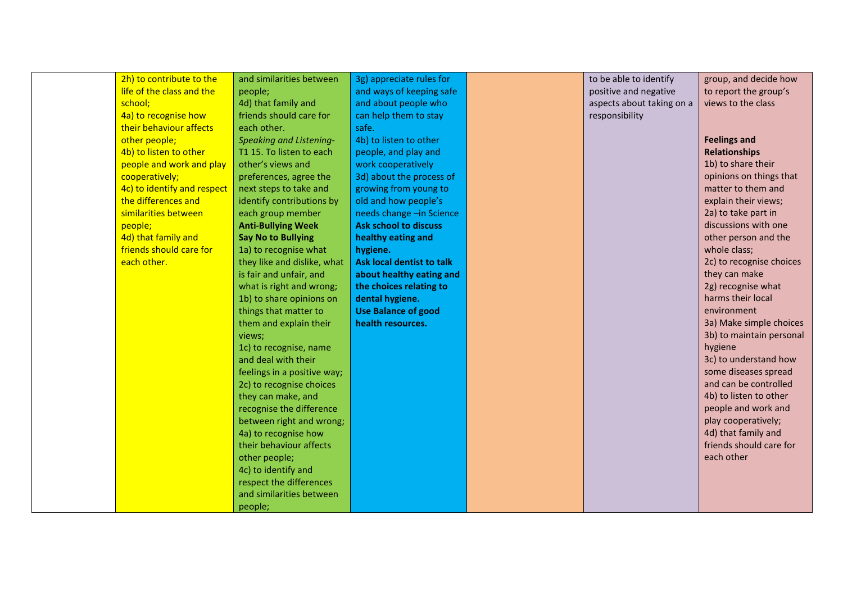| 2h) to contribute to the<br>3g) appreciate rules for<br>and similarities between<br>to be able to identify<br>life of the class and the<br>and ways of keeping safe<br>positive and negative<br>people;<br>school;<br>4d) that family and<br>and about people who<br>views to the class<br>aspects about taking on a<br>4a) to recognise how<br>friends should care for<br>can help them to stay<br>responsibility<br>their behaviour affects<br>each other.<br>safe.<br><b>Feelings and</b><br>other people;<br><b>Speaking and Listening-</b><br>4b) to listen to other | group, and decide how<br>to report the group's |
|---------------------------------------------------------------------------------------------------------------------------------------------------------------------------------------------------------------------------------------------------------------------------------------------------------------------------------------------------------------------------------------------------------------------------------------------------------------------------------------------------------------------------------------------------------------------------|------------------------------------------------|
|                                                                                                                                                                                                                                                                                                                                                                                                                                                                                                                                                                           |                                                |
|                                                                                                                                                                                                                                                                                                                                                                                                                                                                                                                                                                           |                                                |
|                                                                                                                                                                                                                                                                                                                                                                                                                                                                                                                                                                           |                                                |
|                                                                                                                                                                                                                                                                                                                                                                                                                                                                                                                                                                           |                                                |
|                                                                                                                                                                                                                                                                                                                                                                                                                                                                                                                                                                           |                                                |
|                                                                                                                                                                                                                                                                                                                                                                                                                                                                                                                                                                           |                                                |
| <b>Relationships</b><br>4b) to listen to other<br>T1 15. To listen to each<br>people, and play and                                                                                                                                                                                                                                                                                                                                                                                                                                                                        |                                                |
| 1b) to share their<br>people and work and play<br>other's views and<br>work cooperatively                                                                                                                                                                                                                                                                                                                                                                                                                                                                                 |                                                |
| cooperatively;<br>3d) about the process of<br>preferences, agree the                                                                                                                                                                                                                                                                                                                                                                                                                                                                                                      | opinions on things that                        |
| matter to them and<br>4c) to identify and respect<br>next steps to take and<br>growing from young to                                                                                                                                                                                                                                                                                                                                                                                                                                                                      |                                                |
| the differences and<br>explain their views;<br>identify contributions by<br>old and how people's                                                                                                                                                                                                                                                                                                                                                                                                                                                                          |                                                |
| similarities between<br>needs change -in Science<br>2a) to take part in<br>each group member                                                                                                                                                                                                                                                                                                                                                                                                                                                                              |                                                |
| <b>Ask school to discuss</b><br><b>Anti-Bullying Week</b><br>people;                                                                                                                                                                                                                                                                                                                                                                                                                                                                                                      | discussions with one                           |
| 4d) that family and<br><b>Say No to Bullying</b><br>healthy eating and                                                                                                                                                                                                                                                                                                                                                                                                                                                                                                    | other person and the                           |
| friends should care for<br>whole class;<br>1a) to recognise what<br>hygiene.                                                                                                                                                                                                                                                                                                                                                                                                                                                                                              |                                                |
| each other.<br><b>Ask local dentist to talk</b><br>they like and dislike, what                                                                                                                                                                                                                                                                                                                                                                                                                                                                                            | 2c) to recognise choices                       |
| they can make<br>is fair and unfair, and<br>about healthy eating and                                                                                                                                                                                                                                                                                                                                                                                                                                                                                                      |                                                |
| 2g) recognise what<br>the choices relating to<br>what is right and wrong;                                                                                                                                                                                                                                                                                                                                                                                                                                                                                                 |                                                |
| harms their local<br>dental hygiene.<br>1b) to share opinions on                                                                                                                                                                                                                                                                                                                                                                                                                                                                                                          |                                                |
| things that matter to<br><b>Use Balance of good</b><br>environment                                                                                                                                                                                                                                                                                                                                                                                                                                                                                                        |                                                |
| health resources.<br>them and explain their                                                                                                                                                                                                                                                                                                                                                                                                                                                                                                                               | 3a) Make simple choices                        |
| views;                                                                                                                                                                                                                                                                                                                                                                                                                                                                                                                                                                    | 3b) to maintain personal                       |
| hygiene<br>1c) to recognise, name                                                                                                                                                                                                                                                                                                                                                                                                                                                                                                                                         |                                                |
| and deal with their                                                                                                                                                                                                                                                                                                                                                                                                                                                                                                                                                       | 3c) to understand how                          |
| feelings in a positive way;                                                                                                                                                                                                                                                                                                                                                                                                                                                                                                                                               | some diseases spread                           |
| 2c) to recognise choices                                                                                                                                                                                                                                                                                                                                                                                                                                                                                                                                                  | and can be controlled                          |
| they can make, and                                                                                                                                                                                                                                                                                                                                                                                                                                                                                                                                                        | 4b) to listen to other                         |
| recognise the difference                                                                                                                                                                                                                                                                                                                                                                                                                                                                                                                                                  | people and work and                            |
| play cooperatively;<br>between right and wrong;                                                                                                                                                                                                                                                                                                                                                                                                                                                                                                                           |                                                |
| 4d) that family and<br>4a) to recognise how                                                                                                                                                                                                                                                                                                                                                                                                                                                                                                                               |                                                |
| their behaviour affects                                                                                                                                                                                                                                                                                                                                                                                                                                                                                                                                                   | friends should care for                        |
| each other<br>other people;                                                                                                                                                                                                                                                                                                                                                                                                                                                                                                                                               |                                                |
| 4c) to identify and                                                                                                                                                                                                                                                                                                                                                                                                                                                                                                                                                       |                                                |
| respect the differences                                                                                                                                                                                                                                                                                                                                                                                                                                                                                                                                                   |                                                |
| and similarities between                                                                                                                                                                                                                                                                                                                                                                                                                                                                                                                                                  |                                                |
| people;                                                                                                                                                                                                                                                                                                                                                                                                                                                                                                                                                                   |                                                |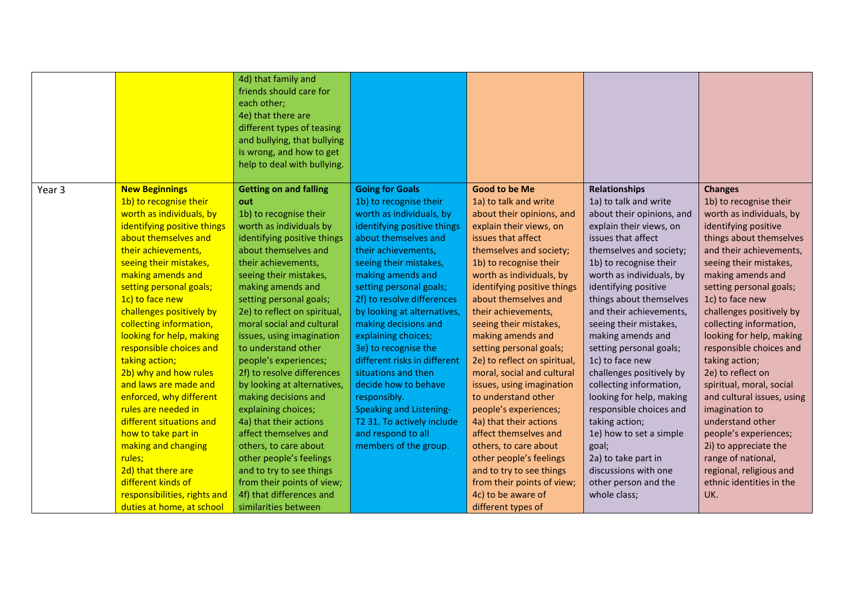|        |                              | 4d) that family and<br>friends should care for<br>each other;<br>4e) that there are<br>different types of teasing |                                |                              |                           |                            |
|--------|------------------------------|-------------------------------------------------------------------------------------------------------------------|--------------------------------|------------------------------|---------------------------|----------------------------|
|        |                              | and bullying, that bullying<br>is wrong, and how to get                                                           |                                |                              |                           |                            |
|        |                              | help to deal with bullying.                                                                                       |                                |                              |                           |                            |
| Year 3 | <b>New Beginnings</b>        | <b>Getting on and falling</b>                                                                                     | <b>Going for Goals</b>         | <b>Good to be Me</b>         | <b>Relationships</b>      | <b>Changes</b>             |
|        | 1b) to recognise their       | out                                                                                                               | 1b) to recognise their         | 1a) to talk and write        | 1a) to talk and write     | 1b) to recognise their     |
|        | worth as individuals, by     | 1b) to recognise their                                                                                            | worth as individuals, by       | about their opinions, and    | about their opinions, and | worth as individuals, by   |
|        | identifying positive things  | worth as individuals by                                                                                           | identifying positive things    | explain their views, on      | explain their views, on   | identifying positive       |
|        | about themselves and         | identifying positive things                                                                                       | about themselves and           | issues that affect           | issues that affect        | things about themselves    |
|        | their achievements,          | about themselves and                                                                                              | their achievements,            | themselves and society;      | themselves and society;   | and their achievements,    |
|        | seeing their mistakes,       | their achievements,                                                                                               | seeing their mistakes,         | 1b) to recognise their       | 1b) to recognise their    | seeing their mistakes,     |
|        | making amends and            | seeing their mistakes,                                                                                            | making amends and              | worth as individuals, by     | worth as individuals, by  | making amends and          |
|        | setting personal goals;      | making amends and                                                                                                 | setting personal goals;        | identifying positive things  | identifying positive      | setting personal goals;    |
|        | 1c) to face new              | setting personal goals;                                                                                           | 2f) to resolve differences     | about themselves and         | things about themselves   | 1c) to face new            |
|        | challenges positively by     | 2e) to reflect on spiritual,                                                                                      | by looking at alternatives,    | their achievements,          | and their achievements,   | challenges positively by   |
|        | collecting information,      | moral social and cultural                                                                                         | making decisions and           | seeing their mistakes,       | seeing their mistakes,    | collecting information,    |
|        | looking for help, making     | issues, using imagination                                                                                         | explaining choices;            | making amends and            | making amends and         | looking for help, making   |
|        | responsible choices and      | to understand other                                                                                               | 3e) to recognise the           | setting personal goals;      | setting personal goals;   | responsible choices and    |
|        | taking action;               | people's experiences;                                                                                             | different risks in different   | 2e) to reflect on spiritual, | 1c) to face new           | taking action;             |
|        | 2b) why and how rules        | 2f) to resolve differences                                                                                        | situations and then            | moral, social and cultural   | challenges positively by  | 2e) to reflect on          |
|        | and laws are made and        | by looking at alternatives,                                                                                       | decide how to behave           | issues, using imagination    | collecting information,   | spiritual, moral, social   |
|        | enforced, why different      | making decisions and                                                                                              | responsibly.                   | to understand other          | looking for help, making  | and cultural issues, using |
|        | rules are needed in          | explaining choices;                                                                                               | <b>Speaking and Listening-</b> | people's experiences;        | responsible choices and   | imagination to             |
|        | different situations and     | 4a) that their actions                                                                                            | T2 31. To actively include     | 4a) that their actions       | taking action;            | understand other           |
|        | how to take part in          | affect themselves and                                                                                             | and respond to all             | affect themselves and        | 1e) how to set a simple   | people's experiences;      |
|        | making and changing          | others, to care about                                                                                             | members of the group.          | others, to care about        | goal;                     | 2i) to appreciate the      |
|        | rules;                       | other people's feelings                                                                                           |                                | other people's feelings      | 2a) to take part in       | range of national,         |
|        | 2d) that there are           | and to try to see things                                                                                          |                                | and to try to see things     | discussions with one      | regional, religious and    |
|        | different kinds of           | from their points of view;                                                                                        |                                | from their points of view;   | other person and the      | ethnic identities in the   |
|        | responsibilities, rights and | 4f) that differences and                                                                                          |                                | 4c) to be aware of           | whole class;              | UK.                        |
|        | duties at home, at school    | similarities between                                                                                              |                                | different types of           |                           |                            |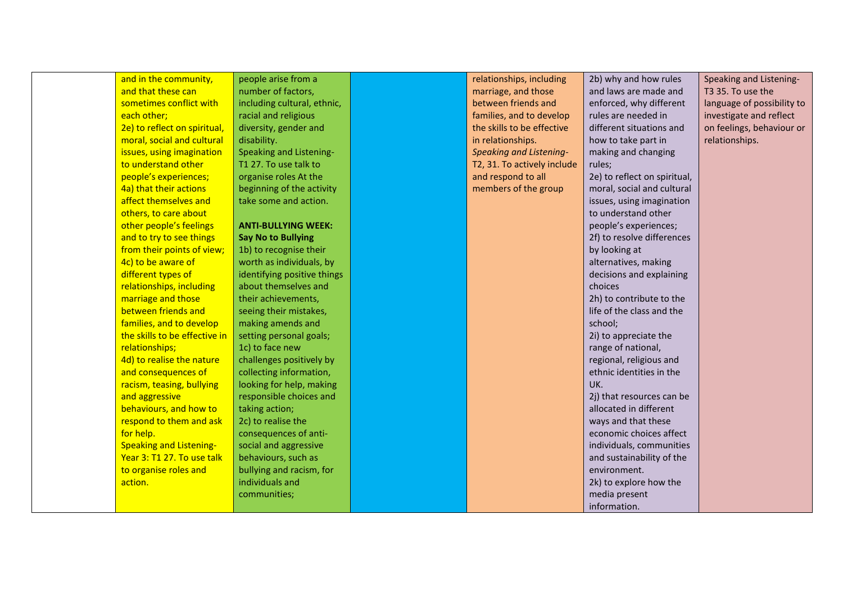and in the community, and that these can sometimes conflict with each other; 2e) to reflect on spiritual, moral, social and cultural issues, using imagination to understand other people's experiences; 4a) that their actions affect themselves and others, to care about other people's feelings and to try to see things from their points of view; 4c) to be aware of different types of relationships, including marriage and those between friends and families, and to develop the skills to be effective in relationships; 4d) to realise the nature and consequences of racism, teasing, bullying and aggressive behaviours, and how to respond to them and ask for help. Speaking and Listening-Year 3: T1 27. To use talk to organise roles and action.

people arise from a number of factors, including cultural, ethnic, racial and religious diversity, gender and disability. Speaking and Listening-T1 27. To use talk to organise roles At the beginning of the activity take some and action.

## **ANTI-BULLYING WEEK: Say No to Bullying**

1b) to recognise their worth as individuals, by identifying positive things about themselves and their achievements, seeing their mistakes, making amends and setting personal goals; 1c) to face new challenges positively by collecting information, looking for help, making responsible choices and taking action; 2c) to realise the consequences of antisocial and aggressive behaviours, such as bullying and racism, for individuals and communities;

relationships, including marriage, and those between friends and families, and to develop the skills to be effective in relationships. *Speaking and Listening*-T2, 31. To actively include and respond to all members of the group

and laws are made and enforced, why different rules are needed in different situations and how to take part in making and changing rules; 2e) to reflect on spiritual, moral, social and cultural issues, using imagination to understand other people's experiences; 2f) to resolve differences by looking at alternatives, making decisions and explaining choices 2h) to contribute to the life of the class and the school; 2i) to appreciate the range of national, regional, religious and ethnic identities in the UK. 2j) that resources can be allocated in different ways and that these economic choices affect individuals, communities and sustainability of the environment. 2k) to explore how the media present information.

2b) why and how rules

Speaking and Listening-T3 35. To use the language of possibility to investigate and reflect on feelings, behaviour or relationships.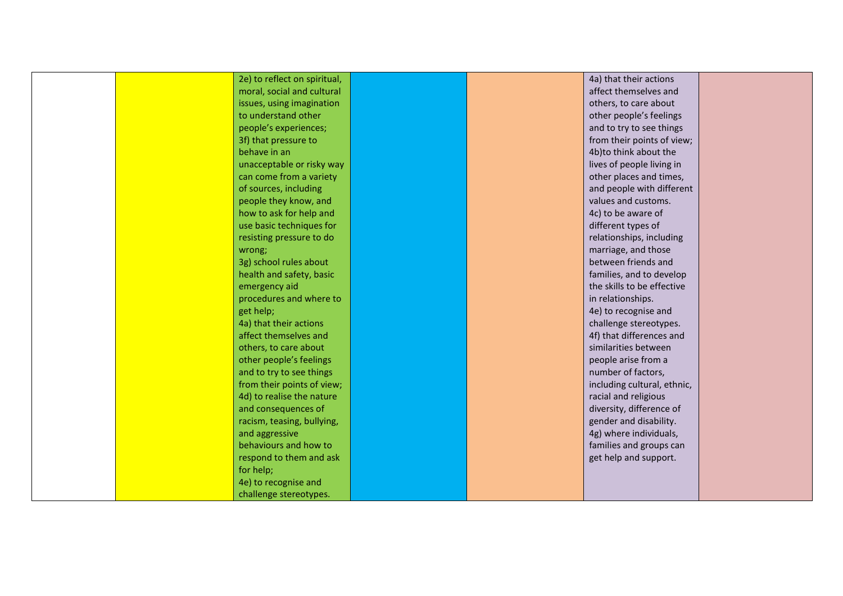| 2e) to reflect on spiritual,<br>4a) that their actions<br>affect themselves and<br>moral, social and cultural<br>issues, using imagination<br>others, to care about<br>to understand other<br>other people's feelings<br>people's experiences;<br>and to try to see things<br>from their points of view;<br>3f) that pressure to<br>behave in an<br>4b)to think about the<br>unacceptable or risky way<br>lives of people living in<br>can come from a variety<br>other places and times,<br>of sources, including<br>and people with different<br>people they know, and<br>values and customs.<br>how to ask for help and<br>4c) to be aware of<br>use basic techniques for<br>different types of<br>relationships, including<br>resisting pressure to do<br>marriage, and those<br>wrong;<br>3g) school rules about<br>between friends and<br>families, and to develop<br>health and safety, basic<br>the skills to be effective<br>emergency aid<br>procedures and where to<br>in relationships.<br>get help;<br>4e) to recognise and<br>4a) that their actions<br>challenge stereotypes.<br>affect themselves and<br>4f) that differences and<br>others, to care about<br>similarities between<br>other people's feelings<br>people arise from a |
|------------------------------------------------------------------------------------------------------------------------------------------------------------------------------------------------------------------------------------------------------------------------------------------------------------------------------------------------------------------------------------------------------------------------------------------------------------------------------------------------------------------------------------------------------------------------------------------------------------------------------------------------------------------------------------------------------------------------------------------------------------------------------------------------------------------------------------------------------------------------------------------------------------------------------------------------------------------------------------------------------------------------------------------------------------------------------------------------------------------------------------------------------------------------------------------------------------------------------------------------------|
|                                                                                                                                                                                                                                                                                                                                                                                                                                                                                                                                                                                                                                                                                                                                                                                                                                                                                                                                                                                                                                                                                                                                                                                                                                                      |
|                                                                                                                                                                                                                                                                                                                                                                                                                                                                                                                                                                                                                                                                                                                                                                                                                                                                                                                                                                                                                                                                                                                                                                                                                                                      |
|                                                                                                                                                                                                                                                                                                                                                                                                                                                                                                                                                                                                                                                                                                                                                                                                                                                                                                                                                                                                                                                                                                                                                                                                                                                      |
|                                                                                                                                                                                                                                                                                                                                                                                                                                                                                                                                                                                                                                                                                                                                                                                                                                                                                                                                                                                                                                                                                                                                                                                                                                                      |
|                                                                                                                                                                                                                                                                                                                                                                                                                                                                                                                                                                                                                                                                                                                                                                                                                                                                                                                                                                                                                                                                                                                                                                                                                                                      |
|                                                                                                                                                                                                                                                                                                                                                                                                                                                                                                                                                                                                                                                                                                                                                                                                                                                                                                                                                                                                                                                                                                                                                                                                                                                      |
|                                                                                                                                                                                                                                                                                                                                                                                                                                                                                                                                                                                                                                                                                                                                                                                                                                                                                                                                                                                                                                                                                                                                                                                                                                                      |
|                                                                                                                                                                                                                                                                                                                                                                                                                                                                                                                                                                                                                                                                                                                                                                                                                                                                                                                                                                                                                                                                                                                                                                                                                                                      |
|                                                                                                                                                                                                                                                                                                                                                                                                                                                                                                                                                                                                                                                                                                                                                                                                                                                                                                                                                                                                                                                                                                                                                                                                                                                      |
|                                                                                                                                                                                                                                                                                                                                                                                                                                                                                                                                                                                                                                                                                                                                                                                                                                                                                                                                                                                                                                                                                                                                                                                                                                                      |
|                                                                                                                                                                                                                                                                                                                                                                                                                                                                                                                                                                                                                                                                                                                                                                                                                                                                                                                                                                                                                                                                                                                                                                                                                                                      |
|                                                                                                                                                                                                                                                                                                                                                                                                                                                                                                                                                                                                                                                                                                                                                                                                                                                                                                                                                                                                                                                                                                                                                                                                                                                      |
|                                                                                                                                                                                                                                                                                                                                                                                                                                                                                                                                                                                                                                                                                                                                                                                                                                                                                                                                                                                                                                                                                                                                                                                                                                                      |
|                                                                                                                                                                                                                                                                                                                                                                                                                                                                                                                                                                                                                                                                                                                                                                                                                                                                                                                                                                                                                                                                                                                                                                                                                                                      |
|                                                                                                                                                                                                                                                                                                                                                                                                                                                                                                                                                                                                                                                                                                                                                                                                                                                                                                                                                                                                                                                                                                                                                                                                                                                      |
|                                                                                                                                                                                                                                                                                                                                                                                                                                                                                                                                                                                                                                                                                                                                                                                                                                                                                                                                                                                                                                                                                                                                                                                                                                                      |
|                                                                                                                                                                                                                                                                                                                                                                                                                                                                                                                                                                                                                                                                                                                                                                                                                                                                                                                                                                                                                                                                                                                                                                                                                                                      |
|                                                                                                                                                                                                                                                                                                                                                                                                                                                                                                                                                                                                                                                                                                                                                                                                                                                                                                                                                                                                                                                                                                                                                                                                                                                      |
|                                                                                                                                                                                                                                                                                                                                                                                                                                                                                                                                                                                                                                                                                                                                                                                                                                                                                                                                                                                                                                                                                                                                                                                                                                                      |
|                                                                                                                                                                                                                                                                                                                                                                                                                                                                                                                                                                                                                                                                                                                                                                                                                                                                                                                                                                                                                                                                                                                                                                                                                                                      |
|                                                                                                                                                                                                                                                                                                                                                                                                                                                                                                                                                                                                                                                                                                                                                                                                                                                                                                                                                                                                                                                                                                                                                                                                                                                      |
|                                                                                                                                                                                                                                                                                                                                                                                                                                                                                                                                                                                                                                                                                                                                                                                                                                                                                                                                                                                                                                                                                                                                                                                                                                                      |
|                                                                                                                                                                                                                                                                                                                                                                                                                                                                                                                                                                                                                                                                                                                                                                                                                                                                                                                                                                                                                                                                                                                                                                                                                                                      |
|                                                                                                                                                                                                                                                                                                                                                                                                                                                                                                                                                                                                                                                                                                                                                                                                                                                                                                                                                                                                                                                                                                                                                                                                                                                      |
| and to try to see things<br>number of factors,                                                                                                                                                                                                                                                                                                                                                                                                                                                                                                                                                                                                                                                                                                                                                                                                                                                                                                                                                                                                                                                                                                                                                                                                       |
| from their points of view;<br>including cultural, ethnic,                                                                                                                                                                                                                                                                                                                                                                                                                                                                                                                                                                                                                                                                                                                                                                                                                                                                                                                                                                                                                                                                                                                                                                                            |
| 4d) to realise the nature<br>racial and religious                                                                                                                                                                                                                                                                                                                                                                                                                                                                                                                                                                                                                                                                                                                                                                                                                                                                                                                                                                                                                                                                                                                                                                                                    |
| and consequences of<br>diversity, difference of                                                                                                                                                                                                                                                                                                                                                                                                                                                                                                                                                                                                                                                                                                                                                                                                                                                                                                                                                                                                                                                                                                                                                                                                      |
| racism, teasing, bullying,<br>gender and disability.                                                                                                                                                                                                                                                                                                                                                                                                                                                                                                                                                                                                                                                                                                                                                                                                                                                                                                                                                                                                                                                                                                                                                                                                 |
| 4g) where individuals,<br>and aggressive                                                                                                                                                                                                                                                                                                                                                                                                                                                                                                                                                                                                                                                                                                                                                                                                                                                                                                                                                                                                                                                                                                                                                                                                             |
| behaviours and how to<br>families and groups can                                                                                                                                                                                                                                                                                                                                                                                                                                                                                                                                                                                                                                                                                                                                                                                                                                                                                                                                                                                                                                                                                                                                                                                                     |
| respond to them and ask<br>get help and support.                                                                                                                                                                                                                                                                                                                                                                                                                                                                                                                                                                                                                                                                                                                                                                                                                                                                                                                                                                                                                                                                                                                                                                                                     |
| for help;                                                                                                                                                                                                                                                                                                                                                                                                                                                                                                                                                                                                                                                                                                                                                                                                                                                                                                                                                                                                                                                                                                                                                                                                                                            |
| 4e) to recognise and                                                                                                                                                                                                                                                                                                                                                                                                                                                                                                                                                                                                                                                                                                                                                                                                                                                                                                                                                                                                                                                                                                                                                                                                                                 |
| challenge stereotypes.                                                                                                                                                                                                                                                                                                                                                                                                                                                                                                                                                                                                                                                                                                                                                                                                                                                                                                                                                                                                                                                                                                                                                                                                                               |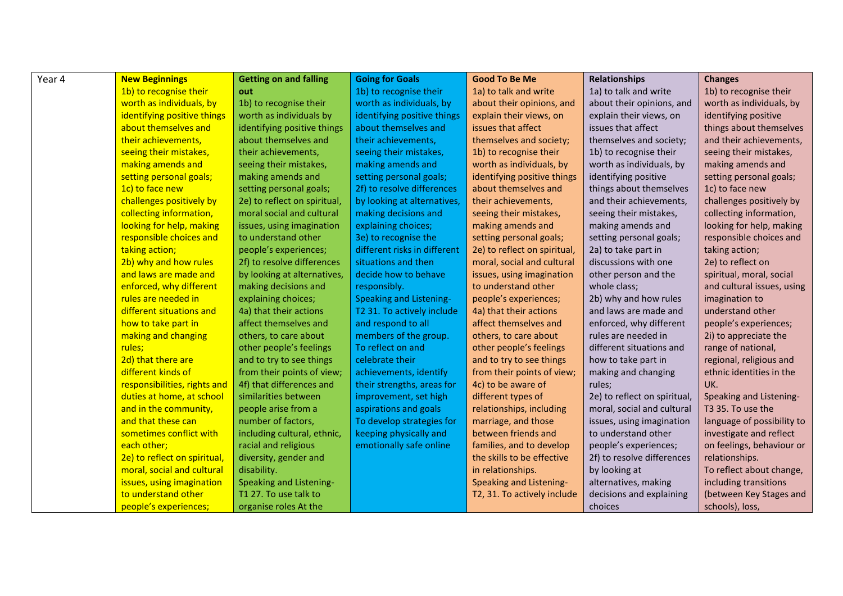| Year 4 | <b>New Beginnings</b>        | <b>Getting on and falling</b>  | <b>Going for Goals</b>         | <b>Good To Be Me</b>         | <b>Relationships</b>         | <b>Changes</b>                |
|--------|------------------------------|--------------------------------|--------------------------------|------------------------------|------------------------------|-------------------------------|
|        | 1b) to recognise their       | out                            | 1b) to recognise their         | 1a) to talk and write        | 1a) to talk and write        | 1b) to recognise their        |
|        | worth as individuals, by     | 1b) to recognise their         | worth as individuals, by       | about their opinions, and    | about their opinions, and    | worth as individuals, by      |
|        | identifying positive things  | worth as individuals by        | identifying positive things    | explain their views, on      | explain their views, on      | identifying positive          |
|        | about themselves and         | identifying positive things    | about themselves and           | issues that affect           | issues that affect           | things about themselves       |
|        | their achievements,          | about themselves and           | their achievements,            | themselves and society;      | themselves and society;      | and their achievements,       |
|        | seeing their mistakes,       | their achievements,            | seeing their mistakes,         | 1b) to recognise their       | 1b) to recognise their       | seeing their mistakes,        |
|        | making amends and            | seeing their mistakes,         | making amends and              | worth as individuals, by     | worth as individuals, by     | making amends and             |
|        | setting personal goals;      | making amends and              | setting personal goals;        | identifying positive things  | identifying positive         | setting personal goals;       |
|        | 1c) to face new              | setting personal goals;        | 2f) to resolve differences     | about themselves and         | things about themselves      | 1c) to face new               |
|        | challenges positively by     | 2e) to reflect on spiritual,   | by looking at alternatives,    | their achievements,          | and their achievements,      | challenges positively by      |
|        | collecting information,      | moral social and cultural      | making decisions and           | seeing their mistakes,       | seeing their mistakes,       | collecting information,       |
|        | looking for help, making     | issues, using imagination      | explaining choices;            | making amends and            | making amends and            | looking for help, making      |
|        | responsible choices and      | to understand other            | 3e) to recognise the           | setting personal goals;      | setting personal goals;      | responsible choices and       |
|        | taking action;               | people's experiences;          | different risks in different   | 2e) to reflect on spiritual, | 2a) to take part in          | taking action;                |
|        | 2b) why and how rules        | 2f) to resolve differences     | situations and then            | moral, social and cultural   | discussions with one         | 2e) to reflect on             |
|        | and laws are made and        | by looking at alternatives,    | decide how to behave           | issues, using imagination    | other person and the         | spiritual, moral, social      |
|        | enforced, why different      | making decisions and           | responsibly.                   | to understand other          | whole class;                 | and cultural issues, using    |
|        | rules are needed in          | explaining choices;            | <b>Speaking and Listening-</b> | people's experiences;        | 2b) why and how rules        | imagination to                |
|        | different situations and     | 4a) that their actions         | T2 31. To actively include     | 4a) that their actions       | and laws are made and        | understand other              |
|        | how to take part in          | affect themselves and          | and respond to all             | affect themselves and        | enforced, why different      | people's experiences;         |
|        | making and changing          | others, to care about          | members of the group.          | others, to care about        | rules are needed in          | 2i) to appreciate the         |
|        | rules;                       | other people's feelings        | To reflect on and              | other people's feelings      | different situations and     | range of national,            |
|        | 2d) that there are           | and to try to see things       | celebrate their                | and to try to see things     | how to take part in          | regional, religious and       |
|        | different kinds of           | from their points of view;     | achievements, identify         | from their points of view;   | making and changing          | ethnic identities in the      |
|        | responsibilities, rights and | 4f) that differences and       | their strengths, areas for     | 4c) to be aware of           | rules;                       | UK.                           |
|        | duties at home, at school    | similarities between           | improvement, set high          | different types of           | 2e) to reflect on spiritual, | Speaking and Listening-       |
|        | and in the community,        | people arise from a            | aspirations and goals          | relationships, including     | moral, social and cultural   | T <sub>3</sub> 35. To use the |
|        | and that these can           | number of factors,             | To develop strategies for      | marriage, and those          | issues, using imagination    | language of possibility to    |
|        | sometimes conflict with      | including cultural, ethnic,    | keeping physically and         | between friends and          | to understand other          | investigate and reflect       |
|        | each other;                  | racial and religious           | emotionally safe online        | families, and to develop     | people's experiences;        | on feelings, behaviour or     |
|        | 2e) to reflect on spiritual, | diversity, gender and          |                                | the skills to be effective   | 2f) to resolve differences   | relationships.                |
|        | moral, social and cultural   | disability.                    |                                | in relationships.            | by looking at                | To reflect about change,      |
|        | issues, using imagination    | <b>Speaking and Listening-</b> |                                | Speaking and Listening-      | alternatives, making         | including transitions         |
|        | to understand other          | T1 27. To use talk to          |                                | T2, 31. To actively include  | decisions and explaining     | (between Key Stages and       |
|        | people's experiences;        | organise roles At the          |                                |                              | choices                      | schools), loss,               |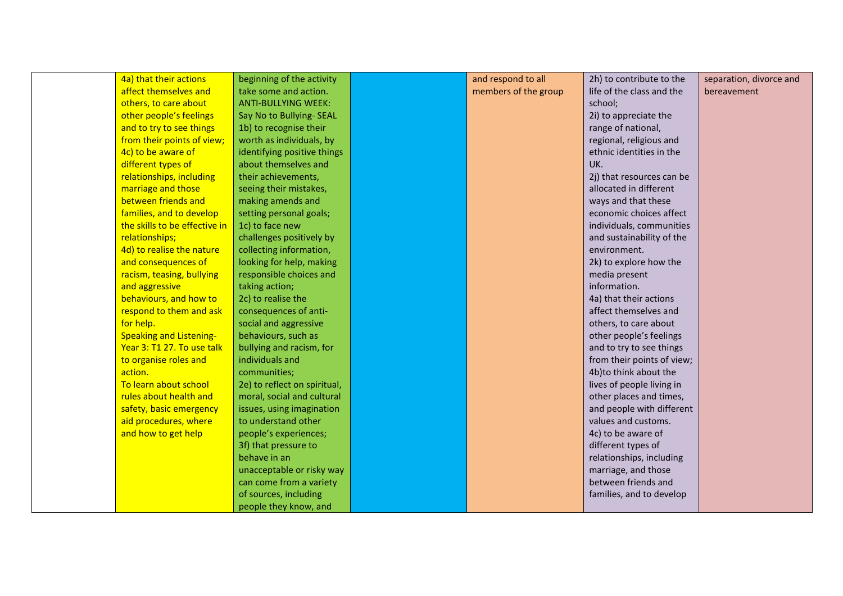| 4a) that their actions         | beginning of the activity    | and respond to all   | 2h) to contribute to the   | separation, divorce and |
|--------------------------------|------------------------------|----------------------|----------------------------|-------------------------|
| affect themselves and          | take some and action.        | members of the group | life of the class and the  | bereavement             |
| others, to care about          | <b>ANTI-BULLYING WEEK:</b>   |                      | school;                    |                         |
| other people's feelings        | Say No to Bullying-SEAL      |                      | 2i) to appreciate the      |                         |
| and to try to see things       | 1b) to recognise their       |                      | range of national,         |                         |
| from their points of view;     | worth as individuals, by     |                      | regional, religious and    |                         |
| 4c) to be aware of             | identifying positive things  |                      | ethnic identities in the   |                         |
| different types of             | about themselves and         |                      | UK.                        |                         |
| relationships, including       | their achievements,          |                      | 2j) that resources can be  |                         |
| marriage and those             | seeing their mistakes,       |                      | allocated in different     |                         |
| between friends and            | making amends and            |                      | ways and that these        |                         |
| families, and to develop       | setting personal goals;      |                      | economic choices affect    |                         |
| the skills to be effective in  | 1c) to face new              |                      | individuals, communities   |                         |
| relationships;                 | challenges positively by     |                      | and sustainability of the  |                         |
| 4d) to realise the nature      | collecting information,      |                      | environment.               |                         |
| and consequences of            | looking for help, making     |                      | 2k) to explore how the     |                         |
| racism, teasing, bullying      | responsible choices and      |                      | media present              |                         |
| and aggressive                 | taking action;               |                      | information.               |                         |
| behaviours, and how to         | 2c) to realise the           |                      | 4a) that their actions     |                         |
| respond to them and ask        | consequences of anti-        |                      | affect themselves and      |                         |
| for help.                      | social and aggressive        |                      | others, to care about      |                         |
| <b>Speaking and Listening-</b> | behaviours, such as          |                      | other people's feelings    |                         |
| Year 3: T1 27. To use talk     | bullying and racism, for     |                      | and to try to see things   |                         |
| to organise roles and          | individuals and              |                      | from their points of view; |                         |
| action.                        | communities;                 |                      | 4b)to think about the      |                         |
| To learn about school          | 2e) to reflect on spiritual, |                      | lives of people living in  |                         |
| rules about health and         | moral, social and cultural   |                      | other places and times,    |                         |
| safety, basic emergency        | issues, using imagination    |                      | and people with different  |                         |
| aid procedures, where          | to understand other          |                      | values and customs.        |                         |
| and how to get help            | people's experiences;        |                      | 4c) to be aware of         |                         |
|                                | 3f) that pressure to         |                      | different types of         |                         |
|                                | behave in an                 |                      | relationships, including   |                         |
|                                | unacceptable or risky way    |                      | marriage, and those        |                         |
|                                | can come from a variety      |                      | between friends and        |                         |
|                                | of sources, including        |                      | families, and to develop   |                         |
|                                | people they know, and        |                      |                            |                         |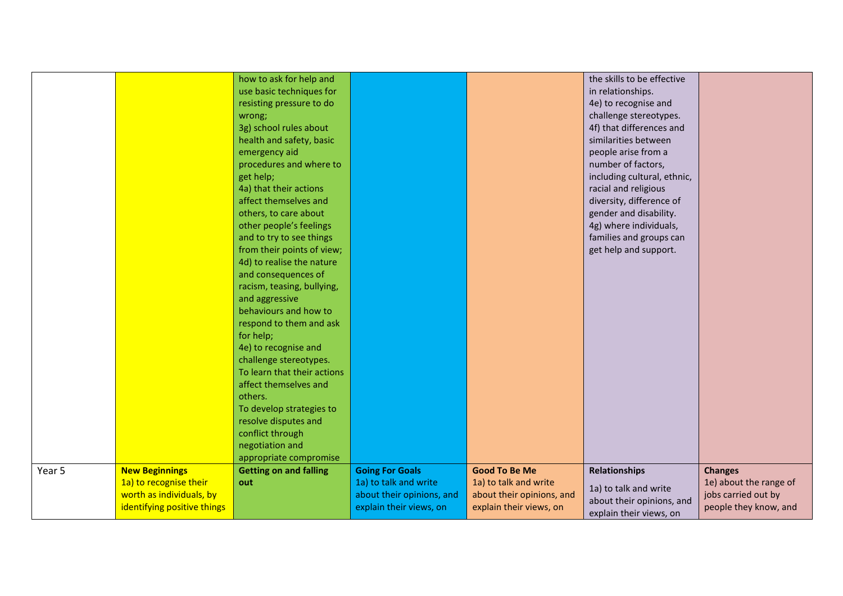|        |                             | how to ask for help and<br>use basic techniques for |                           |                           | the skills to be effective<br>in relationships. |                        |
|--------|-----------------------------|-----------------------------------------------------|---------------------------|---------------------------|-------------------------------------------------|------------------------|
|        |                             | resisting pressure to do                            |                           |                           | 4e) to recognise and                            |                        |
|        |                             | wrong;                                              |                           |                           | challenge stereotypes.                          |                        |
|        |                             | 3g) school rules about                              |                           |                           | 4f) that differences and                        |                        |
|        |                             | health and safety, basic                            |                           |                           | similarities between                            |                        |
|        |                             | emergency aid                                       |                           |                           | people arise from a                             |                        |
|        |                             | procedures and where to                             |                           |                           | number of factors,                              |                        |
|        |                             | get help;                                           |                           |                           | including cultural, ethnic,                     |                        |
|        |                             | 4a) that their actions                              |                           |                           | racial and religious                            |                        |
|        |                             | affect themselves and                               |                           |                           | diversity, difference of                        |                        |
|        |                             | others, to care about                               |                           |                           | gender and disability.                          |                        |
|        |                             | other people's feelings                             |                           |                           | 4g) where individuals,                          |                        |
|        |                             | and to try to see things                            |                           |                           | families and groups can                         |                        |
|        |                             | from their points of view;                          |                           |                           | get help and support.                           |                        |
|        |                             | 4d) to realise the nature                           |                           |                           |                                                 |                        |
|        |                             | and consequences of                                 |                           |                           |                                                 |                        |
|        |                             | racism, teasing, bullying,                          |                           |                           |                                                 |                        |
|        |                             | and aggressive                                      |                           |                           |                                                 |                        |
|        |                             | behaviours and how to                               |                           |                           |                                                 |                        |
|        |                             | respond to them and ask                             |                           |                           |                                                 |                        |
|        |                             | for help;                                           |                           |                           |                                                 |                        |
|        |                             | 4e) to recognise and                                |                           |                           |                                                 |                        |
|        |                             | challenge stereotypes.                              |                           |                           |                                                 |                        |
|        |                             | To learn that their actions                         |                           |                           |                                                 |                        |
|        |                             | affect themselves and                               |                           |                           |                                                 |                        |
|        |                             | others.                                             |                           |                           |                                                 |                        |
|        |                             | To develop strategies to                            |                           |                           |                                                 |                        |
|        |                             | resolve disputes and                                |                           |                           |                                                 |                        |
|        |                             | conflict through                                    |                           |                           |                                                 |                        |
|        |                             | negotiation and                                     |                           |                           |                                                 |                        |
|        |                             | appropriate compromise                              |                           |                           |                                                 |                        |
| Year 5 | <b>New Beginnings</b>       | <b>Getting on and falling</b>                       | <b>Going For Goals</b>    | <b>Good To Be Me</b>      | <b>Relationships</b>                            | <b>Changes</b>         |
|        | 1a) to recognise their      | out                                                 | 1a) to talk and write     | 1a) to talk and write     | 1a) to talk and write                           | 1e) about the range of |
|        | worth as individuals, by    |                                                     | about their opinions, and | about their opinions, and | about their opinions, and                       | jobs carried out by    |
|        | identifying positive things |                                                     | explain their views, on   | explain their views, on   | explain their views, on                         | people they know, and  |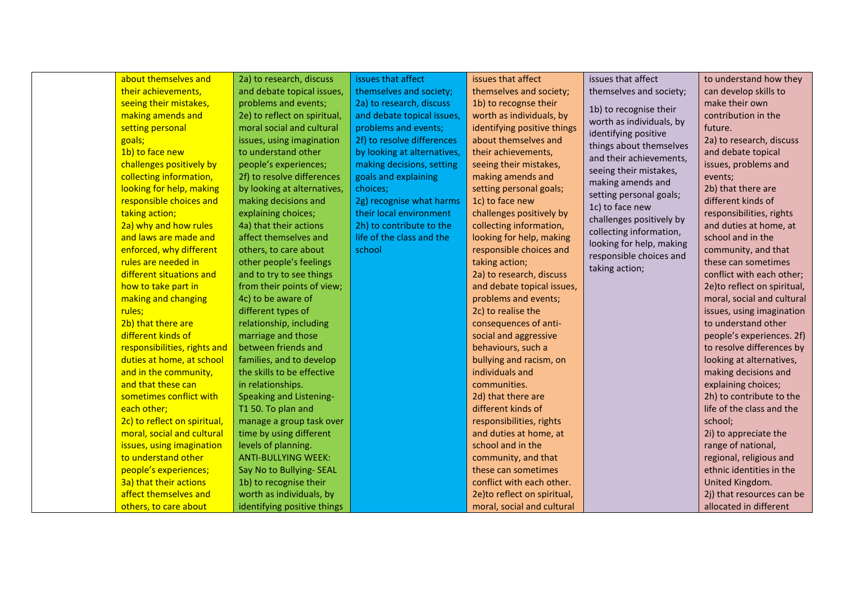| about themselves and         | 2a) to research, discuss     | issues that affect          | issues that affect          | issues that affect       | to understand how they      |
|------------------------------|------------------------------|-----------------------------|-----------------------------|--------------------------|-----------------------------|
| their achievements,          | and debate topical issues,   | themselves and society;     | themselves and society;     | themselves and society;  | can develop skills to       |
| seeing their mistakes,       | problems and events;         | 2a) to research, discuss    | 1b) to recognse their       |                          | make their own              |
| making amends and            | 2e) to reflect on spiritual, | and debate topical issues,  | worth as individuals, by    | 1b) to recognise their   | contribution in the         |
|                              | moral social and cultural    | problems and events;        |                             | worth as individuals, by | future.                     |
| setting personal             |                              |                             | identifying positive things | identifying positive     |                             |
| goals;                       | issues, using imagination    | 2f) to resolve differences  | about themselves and        | things about themselves  | 2a) to research, discuss    |
| 1b) to face new              | to understand other          | by looking at alternatives, | their achievements,         | and their achievements,  | and debate topical          |
| challenges positively by     | people's experiences;        | making decisions, setting   | seeing their mistakes,      | seeing their mistakes,   | issues, problems and        |
| collecting information,      | 2f) to resolve differences   | goals and explaining        | making amends and           | making amends and        | events;                     |
| looking for help, making     | by looking at alternatives,  | choices;                    | setting personal goals;     | setting personal goals;  | 2b) that there are          |
| responsible choices and      | making decisions and         | 2g) recognise what harms    | 1c) to face new             | 1c) to face new          | different kinds of          |
| taking action;               | explaining choices;          | their local environment     | challenges positively by    | challenges positively by | responsibilities, rights    |
| 2a) why and how rules        | 4a) that their actions       | 2h) to contribute to the    | collecting information,     | collecting information,  | and duties at home, at      |
| and laws are made and        | affect themselves and        | life of the class and the   | looking for help, making    | looking for help, making | school and in the           |
| enforced, why different      | others, to care about        | school                      | responsible choices and     | responsible choices and  | community, and that         |
| rules are needed in          | other people's feelings      |                             | taking action;              | taking action;           | these can sometimes         |
| different situations and     | and to try to see things     |                             | 2a) to research, discuss    |                          | conflict with each other;   |
| how to take part in          | from their points of view;   |                             | and debate topical issues,  |                          | 2e)to reflect on spiritual, |
| making and changing          | 4c) to be aware of           |                             | problems and events;        |                          | moral, social and cultural  |
| rules;                       | different types of           |                             | 2c) to realise the          |                          | issues, using imagination   |
| 2b) that there are           | relationship, including      |                             | consequences of anti-       |                          | to understand other         |
| different kinds of           | marriage and those           |                             | social and aggressive       |                          | people's experiences. 2f)   |
| responsibilities, rights and | between friends and          |                             | behaviours, such a          |                          | to resolve differences by   |
| duties at home, at school    | families, and to develop     |                             | bullying and racism, on     |                          | looking at alternatives,    |
| and in the community,        | the skills to be effective   |                             | individuals and             |                          | making decisions and        |
| and that these can           | in relationships.            |                             | communities.                |                          | explaining choices;         |
| sometimes conflict with      | Speaking and Listening-      |                             | 2d) that there are          |                          | 2h) to contribute to the    |
| each other;                  | T1 50. To plan and           |                             | different kinds of          |                          | life of the class and the   |
| 2c) to reflect on spiritual, | manage a group task over     |                             | responsibilities, rights    |                          | school;                     |
| moral, social and cultural   | time by using different      |                             | and duties at home, at      |                          | 2i) to appreciate the       |
| issues, using imagination    | levels of planning.          |                             | school and in the           |                          | range of national,          |
| to understand other          | <b>ANTI-BULLYING WEEK:</b>   |                             | community, and that         |                          | regional, religious and     |
| people's experiences;        | Say No to Bullying-SEAL      |                             | these can sometimes         |                          | ethnic identities in the    |
| 3a) that their actions       | 1b) to recognise their       |                             | conflict with each other.   |                          | United Kingdom.             |
| affect themselves and        | worth as individuals, by     |                             | 2e)to reflect on spiritual, |                          | 2j) that resources can be   |
| others, to care about        | identifying positive things  |                             | moral, social and cultural  |                          | allocated in different      |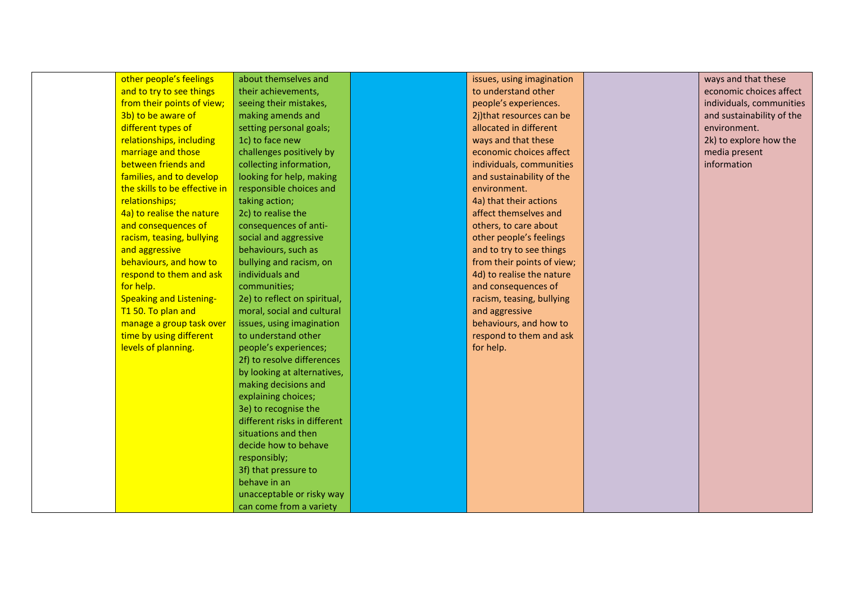| other people's feelings        | about themselves and         | issues, using imagination  | ways and that these       |
|--------------------------------|------------------------------|----------------------------|---------------------------|
| and to try to see things       | their achievements,          | to understand other        | economic choices affect   |
| from their points of view;     | seeing their mistakes,       | people's experiences.      | individuals, communities  |
| 3b) to be aware of             | making amends and            | 2j)that resources can be   | and sustainability of the |
| different types of             | setting personal goals;      | allocated in different     | environment.              |
| relationships, including       | 1c) to face new              | ways and that these        | 2k) to explore how the    |
| marriage and those             | challenges positively by     | economic choices affect    | media present             |
| between friends and            | collecting information,      | individuals, communities   | information               |
| families, and to develop       | looking for help, making     | and sustainability of the  |                           |
| the skills to be effective in  | responsible choices and      | environment.               |                           |
| relationships;                 | taking action;               | 4a) that their actions     |                           |
| 4a) to realise the nature      | 2c) to realise the           | affect themselves and      |                           |
| and consequences of            | consequences of anti-        | others, to care about      |                           |
| racism, teasing, bullying      | social and aggressive        | other people's feelings    |                           |
| and aggressive                 | behaviours, such as          | and to try to see things   |                           |
| behaviours, and how to         | bullying and racism, on      | from their points of view; |                           |
| respond to them and ask        | individuals and              | 4d) to realise the nature  |                           |
| for help.                      | communities;                 | and consequences of        |                           |
| <b>Speaking and Listening-</b> | 2e) to reflect on spiritual, | racism, teasing, bullying  |                           |
| T1 50. To plan and             | moral, social and cultural   | and aggressive             |                           |
| manage a group task over       | issues, using imagination    | behaviours, and how to     |                           |
| time by using different        | to understand other          | respond to them and ask    |                           |
| levels of planning.            | people's experiences;        | for help.                  |                           |
|                                | 2f) to resolve differences   |                            |                           |
|                                | by looking at alternatives,  |                            |                           |
|                                | making decisions and         |                            |                           |
|                                | explaining choices;          |                            |                           |
|                                | 3e) to recognise the         |                            |                           |
|                                | different risks in different |                            |                           |
|                                | situations and then          |                            |                           |
|                                | decide how to behave         |                            |                           |
|                                | responsibly;                 |                            |                           |
|                                | 3f) that pressure to         |                            |                           |
|                                | behave in an                 |                            |                           |
|                                | unacceptable or risky way    |                            |                           |
|                                | can come from a variety      |                            |                           |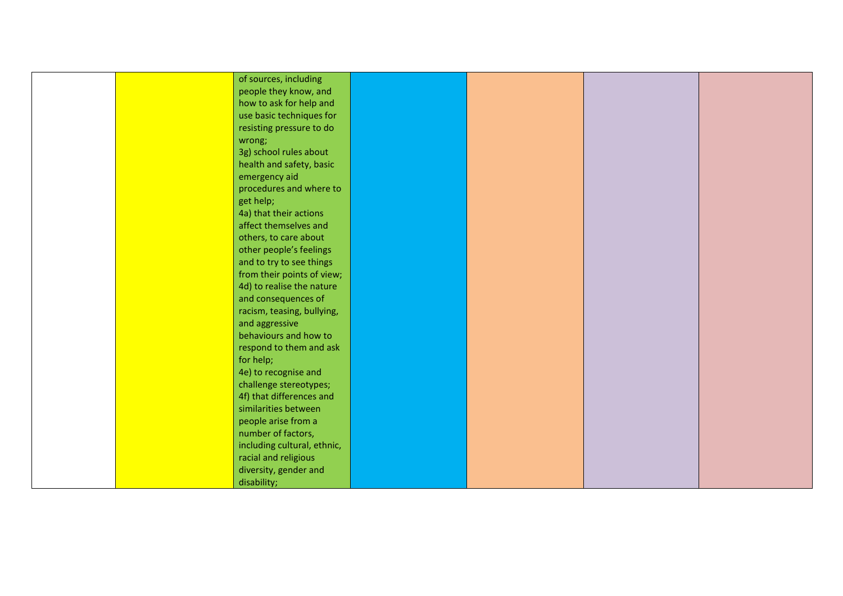| of sources, including       |  |  |
|-----------------------------|--|--|
| people they know, and       |  |  |
| how to ask for help and     |  |  |
| use basic techniques for    |  |  |
| resisting pressure to do    |  |  |
| wrong;                      |  |  |
| 3g) school rules about      |  |  |
| health and safety, basic    |  |  |
| emergency aid               |  |  |
| procedures and where to     |  |  |
| get help;                   |  |  |
| 4a) that their actions      |  |  |
| affect themselves and       |  |  |
| others, to care about       |  |  |
| other people's feelings     |  |  |
| and to try to see things    |  |  |
| from their points of view;  |  |  |
| 4d) to realise the nature   |  |  |
| and consequences of         |  |  |
| racism, teasing, bullying,  |  |  |
| and aggressive              |  |  |
| behaviours and how to       |  |  |
| respond to them and ask     |  |  |
| for help;                   |  |  |
| 4e) to recognise and        |  |  |
| challenge stereotypes;      |  |  |
| 4f) that differences and    |  |  |
| similarities between        |  |  |
| people arise from a         |  |  |
| number of factors,          |  |  |
| including cultural, ethnic, |  |  |
| racial and religious        |  |  |
| diversity, gender and       |  |  |
| disability;                 |  |  |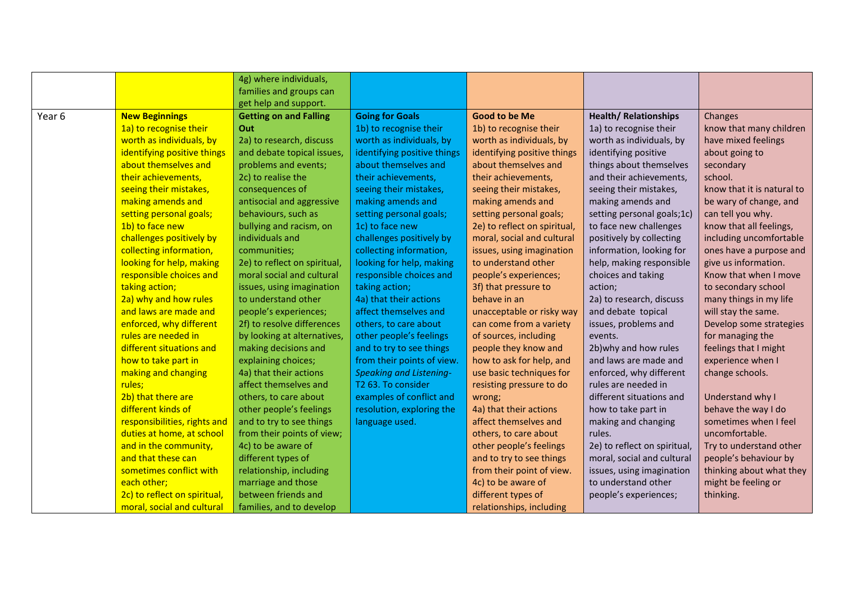|        |                              | 4g) where individuals,        |                                |                              |                              |                            |
|--------|------------------------------|-------------------------------|--------------------------------|------------------------------|------------------------------|----------------------------|
|        |                              | families and groups can       |                                |                              |                              |                            |
|        |                              | get help and support.         |                                |                              |                              |                            |
| Year 6 | <b>New Beginnings</b>        | <b>Getting on and Falling</b> | <b>Going for Goals</b>         | <b>Good to be Me</b>         | <b>Health/ Relationships</b> | Changes                    |
|        | 1a) to recognise their       | Out                           | 1b) to recognise their         | 1b) to recognise their       | 1a) to recognise their       | know that many children    |
|        | worth as individuals, by     | 2a) to research, discuss      | worth as individuals, by       | worth as individuals, by     | worth as individuals, by     | have mixed feelings        |
|        | identifying positive things  | and debate topical issues,    | identifying positive things    | identifying positive things  | identifying positive         | about going to             |
|        | about themselves and         | problems and events;          | about themselves and           | about themselves and         | things about themselves      | secondary                  |
|        | their achievements,          | 2c) to realise the            | their achievements,            | their achievements,          | and their achievements,      | school.                    |
|        | seeing their mistakes,       | consequences of               | seeing their mistakes,         | seeing their mistakes,       | seeing their mistakes,       | know that it is natural to |
|        | making amends and            | antisocial and aggressive     | making amends and              | making amends and            | making amends and            | be wary of change, and     |
|        | setting personal goals;      | behaviours, such as           | setting personal goals;        | setting personal goals;      | setting personal goals;1c)   | can tell you why.          |
|        | 1b) to face new              | bullying and racism, on       | 1c) to face new                | 2e) to reflect on spiritual, | to face new challenges       | know that all feelings,    |
|        | challenges positively by     | individuals and               | challenges positively by       | moral, social and cultural   | positively by collecting     | including uncomfortable    |
|        | collecting information,      | communities;                  | collecting information,        | issues, using imagination    | information, looking for     | ones have a purpose and    |
|        | looking for help, making     | 2e) to reflect on spiritual,  | looking for help, making       | to understand other          | help, making responsible     | give us information.       |
|        | responsible choices and      | moral social and cultural     | responsible choices and        | people's experiences;        | choices and taking           | Know that when I move      |
|        | taking action;               | issues, using imagination     | taking action;                 | 3f) that pressure to         | action;                      | to secondary school        |
|        | 2a) why and how rules        | to understand other           | 4a) that their actions         | behave in an                 | 2a) to research, discuss     | many things in my life     |
|        | and laws are made and        | people's experiences;         | affect themselves and          | unacceptable or risky way    | and debate topical           | will stay the same.        |
|        | enforced, why different      | 2f) to resolve differences    | others, to care about          | can come from a variety      | issues, problems and         | Develop some strategies    |
|        | rules are needed in          | by looking at alternatives,   | other people's feelings        | of sources, including        | events.                      | for managing the           |
|        | different situations and     | making decisions and          | and to try to see things       | people they know and         | 2b) why and how rules        | feelings that I might      |
|        | how to take part in          | explaining choices;           | from their points of view.     | how to ask for help, and     | and laws are made and        | experience when I          |
|        | making and changing          | 4a) that their actions        | <b>Speaking and Listening-</b> | use basic techniques for     | enforced, why different      | change schools.            |
|        | rules;                       | affect themselves and         | T2 63. To consider             | resisting pressure to do     | rules are needed in          |                            |
|        | 2b) that there are           | others, to care about         | examples of conflict and       | wrong;                       | different situations and     | Understand why I           |
|        | different kinds of           | other people's feelings       | resolution, exploring the      | 4a) that their actions       | how to take part in          | behave the way I do        |
|        | responsibilities, rights and | and to try to see things      | language used.                 | affect themselves and        | making and changing          | sometimes when I feel      |
|        | duties at home, at school    | from their points of view;    |                                | others, to care about        | rules.                       | uncomfortable.             |
|        | and in the community,        | 4c) to be aware of            |                                | other people's feelings      | 2e) to reflect on spiritual, | Try to understand other    |
|        | and that these can           | different types of            |                                | and to try to see things     | moral, social and cultural   | people's behaviour by      |
|        | sometimes conflict with      | relationship, including       |                                | from their point of view.    | issues, using imagination    | thinking about what they   |
|        | each other;                  | marriage and those            |                                | 4c) to be aware of           | to understand other          | might be feeling or        |
|        | 2c) to reflect on spiritual, | between friends and           |                                | different types of           | people's experiences;        | thinking.                  |
|        | moral, social and cultural   | families, and to develop      |                                | relationships, including     |                              |                            |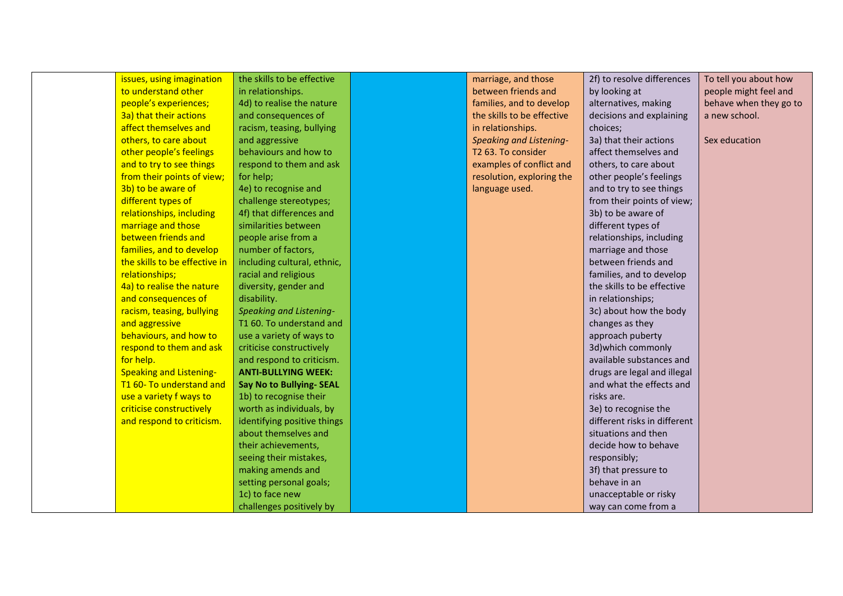| issues, using imagination      | the skills to be effective      | marriage, and those            | 2f) to resolve differences   | To tell you about how  |
|--------------------------------|---------------------------------|--------------------------------|------------------------------|------------------------|
| to understand other            | in relationships.               | between friends and            | by looking at                | people might feel and  |
| people's experiences;          | 4d) to realise the nature       | families, and to develop       | alternatives, making         | behave when they go to |
| 3a) that their actions         | and consequences of             | the skills to be effective     | decisions and explaining     | a new school.          |
| affect themselves and          | racism, teasing, bullying       | in relationships.              | choices;                     |                        |
| others, to care about          | and aggressive                  | <b>Speaking and Listening-</b> | 3a) that their actions       | Sex education          |
| other people's feelings        | behaviours and how to           | T <sub>2</sub> 63. To consider | affect themselves and        |                        |
| and to try to see things       | respond to them and ask         | examples of conflict and       | others, to care about        |                        |
| from their points of view;     | for help;                       | resolution, exploring the      | other people's feelings      |                        |
| 3b) to be aware of             | 4e) to recognise and            | language used.                 | and to try to see things     |                        |
| different types of             | challenge stereotypes;          |                                | from their points of view;   |                        |
| relationships, including       | 4f) that differences and        |                                | 3b) to be aware of           |                        |
| marriage and those             | similarities between            |                                | different types of           |                        |
| between friends and            | people arise from a             |                                | relationships, including     |                        |
| families, and to develop       | number of factors,              |                                | marriage and those           |                        |
| the skills to be effective in  | including cultural, ethnic,     |                                | between friends and          |                        |
| relationships;                 | racial and religious            |                                | families, and to develop     |                        |
| 4a) to realise the nature      | diversity, gender and           |                                | the skills to be effective   |                        |
| and consequences of            | disability.                     |                                | in relationships;            |                        |
| racism, teasing, bullying      | <b>Speaking and Listening-</b>  |                                | 3c) about how the body       |                        |
| and aggressive                 | T1 60. To understand and        |                                | changes as they              |                        |
| behaviours, and how to         | use a variety of ways to        |                                | approach puberty             |                        |
| respond to them and ask        | criticise constructively        |                                | 3d) which commonly           |                        |
| for help.                      | and respond to criticism.       |                                | available substances and     |                        |
| <b>Speaking and Listening-</b> | <b>ANTI-BULLYING WEEK:</b>      |                                | drugs are legal and illegal  |                        |
| T1 60- To understand and       | <b>Say No to Bullying- SEAL</b> |                                | and what the effects and     |                        |
| use a variety f ways to        | 1b) to recognise their          |                                | risks are.                   |                        |
| criticise constructively       | worth as individuals, by        |                                | 3e) to recognise the         |                        |
| and respond to criticism.      | identifying positive things     |                                | different risks in different |                        |
|                                | about themselves and            |                                | situations and then          |                        |
|                                | their achievements,             |                                | decide how to behave         |                        |
|                                | seeing their mistakes,          |                                | responsibly;                 |                        |
|                                | making amends and               |                                | 3f) that pressure to         |                        |
|                                | setting personal goals;         |                                | behave in an                 |                        |
|                                | 1c) to face new                 |                                | unacceptable or risky        |                        |
|                                | challenges positively by        |                                | way can come from a          |                        |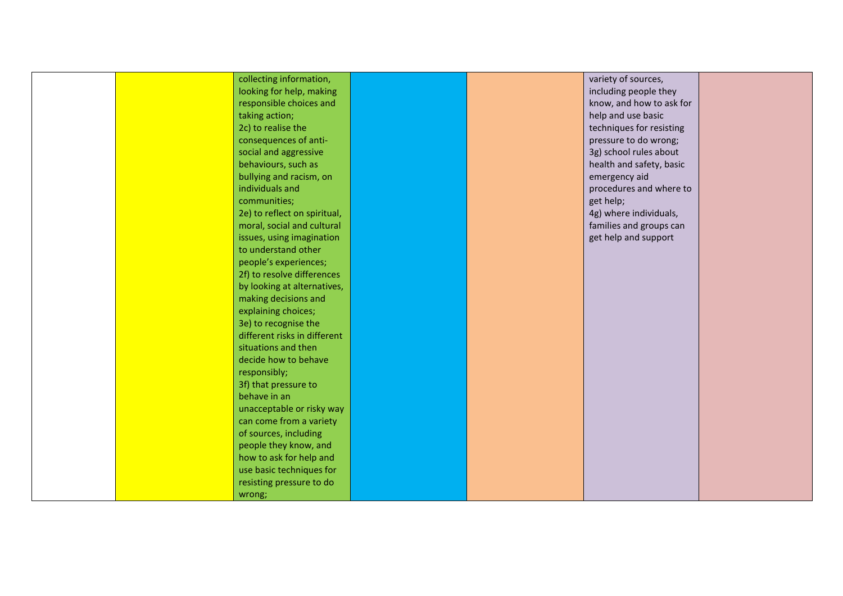|  | collecting information,      |  | variety of sources,      |  |
|--|------------------------------|--|--------------------------|--|
|  | looking for help, making     |  | including people they    |  |
|  | responsible choices and      |  | know, and how to ask for |  |
|  | taking action;               |  | help and use basic       |  |
|  | 2c) to realise the           |  | techniques for resisting |  |
|  | consequences of anti-        |  | pressure to do wrong;    |  |
|  | social and aggressive        |  | 3g) school rules about   |  |
|  | behaviours, such as          |  | health and safety, basic |  |
|  | bullying and racism, on      |  | emergency aid            |  |
|  | individuals and              |  | procedures and where to  |  |
|  | communities;                 |  | get help;                |  |
|  | 2e) to reflect on spiritual, |  | 4g) where individuals,   |  |
|  | moral, social and cultural   |  | families and groups can  |  |
|  | issues, using imagination    |  | get help and support     |  |
|  | to understand other          |  |                          |  |
|  | people's experiences;        |  |                          |  |
|  | 2f) to resolve differences   |  |                          |  |
|  | by looking at alternatives,  |  |                          |  |
|  | making decisions and         |  |                          |  |
|  | explaining choices;          |  |                          |  |
|  | 3e) to recognise the         |  |                          |  |
|  | different risks in different |  |                          |  |
|  | situations and then          |  |                          |  |
|  | decide how to behave         |  |                          |  |
|  | responsibly;                 |  |                          |  |
|  | 3f) that pressure to         |  |                          |  |
|  | behave in an                 |  |                          |  |
|  | unacceptable or risky way    |  |                          |  |
|  | can come from a variety      |  |                          |  |
|  | of sources, including        |  |                          |  |
|  | people they know, and        |  |                          |  |
|  | how to ask for help and      |  |                          |  |
|  | use basic techniques for     |  |                          |  |
|  | resisting pressure to do     |  |                          |  |
|  | wrong;                       |  |                          |  |
|  |                              |  |                          |  |